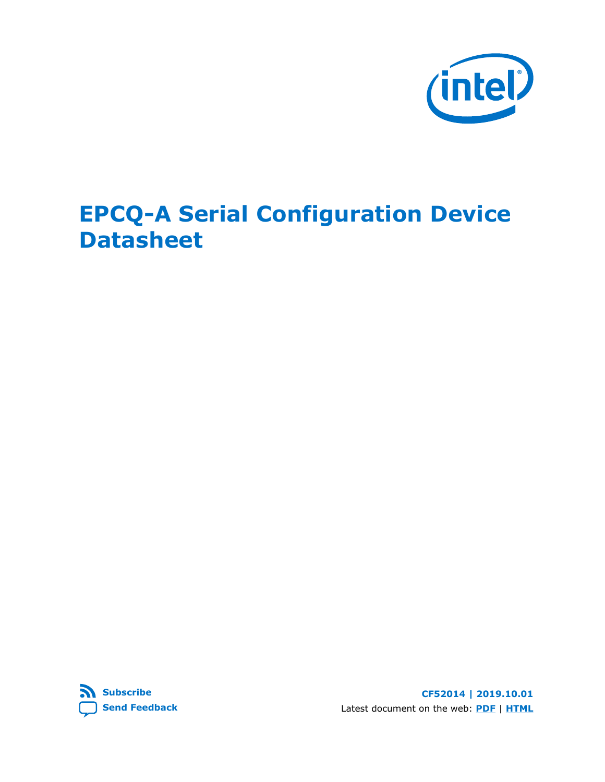

# **EPCQ-A Serial Configuration Device Datasheet**



**CF52014 | 2019.10.01** Latest document on the web: **[PDF](https://www.intel.com/content/dam/www/programmable/us/en/pdfs/literature/hb/cfg/cfg_cf52014.pdf)** | **[HTML](https://www.intel.com/content/www/us/en/programmable/documentation/sli1498107252254.html)**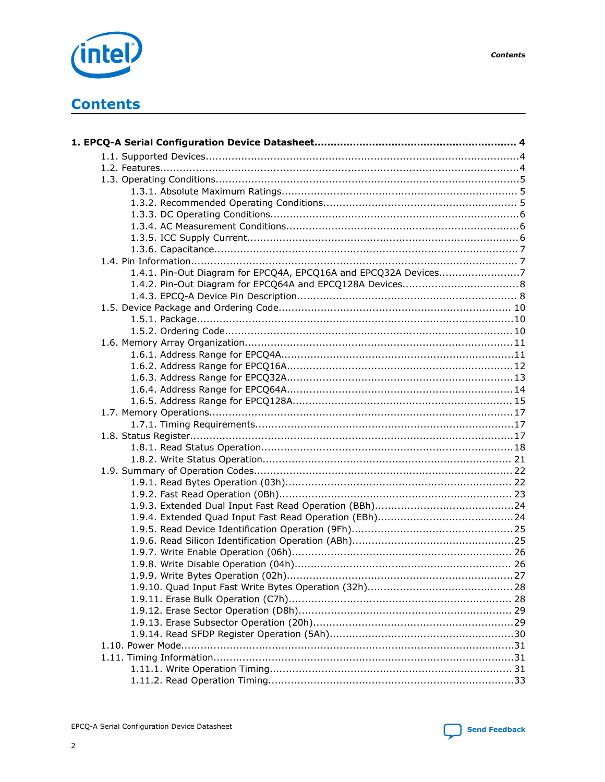

**Send Feedback** 



# **Contents**

| 1.4.1. Pin-Out Diagram for EPCQ4A, EPCQ16A and EPCQ32A Devices7 |  |
|-----------------------------------------------------------------|--|
|                                                                 |  |
|                                                                 |  |
|                                                                 |  |
|                                                                 |  |
|                                                                 |  |
|                                                                 |  |
|                                                                 |  |
|                                                                 |  |
|                                                                 |  |
|                                                                 |  |
|                                                                 |  |
|                                                                 |  |
|                                                                 |  |
|                                                                 |  |
|                                                                 |  |
|                                                                 |  |
|                                                                 |  |
|                                                                 |  |
|                                                                 |  |
|                                                                 |  |
|                                                                 |  |
|                                                                 |  |
|                                                                 |  |
|                                                                 |  |
|                                                                 |  |
|                                                                 |  |
|                                                                 |  |
|                                                                 |  |
|                                                                 |  |
|                                                                 |  |
|                                                                 |  |
|                                                                 |  |
|                                                                 |  |
|                                                                 |  |
|                                                                 |  |
|                                                                 |  |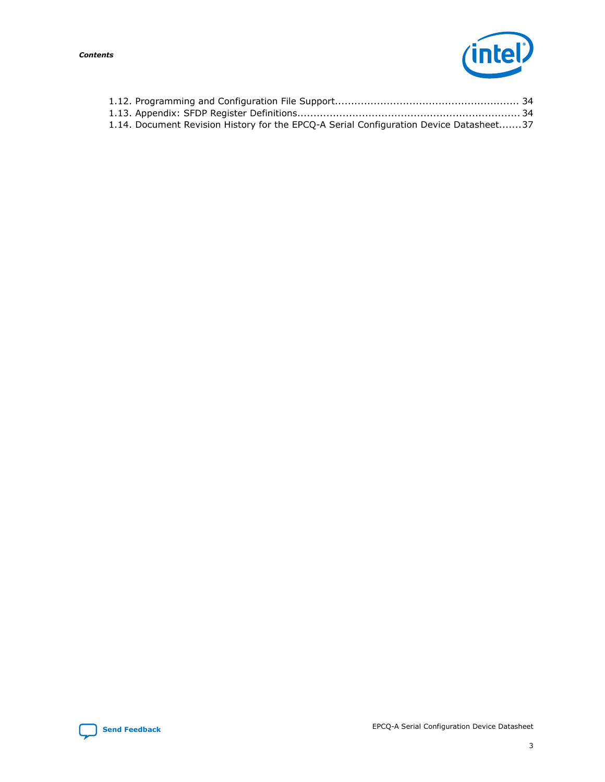

| 1.14. Document Revision History for the EPCQ-A Serial Configuration Device Datasheet37 |  |
|----------------------------------------------------------------------------------------|--|

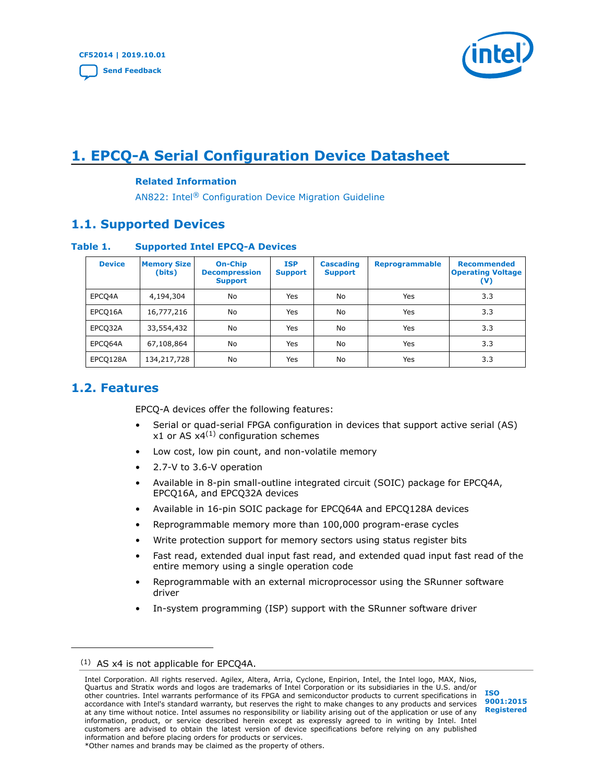

# <span id="page-3-0"></span>**1. EPCQ-A Serial Configuration Device Datasheet**

#### **Related Information**

AN822: Intel® [Configuration Device Migration Guideline](https://www.intel.com/content/www/us/en/programmable/documentation/tfb1498107381358.html#bno1498108619513)

## **1.1. Supported Devices**

#### **Table 1. Supported Intel EPCQ-A Devices**

| <b>Device</b> | <b>Memory Size</b><br>(bits) | <b>On-Chip</b><br><b>Decompression</b><br><b>Support</b> | <b>ISP</b><br><b>Support</b> | <b>Cascading</b><br><b>Support</b> | <b>Reprogrammable</b> | <b>Recommended</b><br><b>Operating Voltage</b><br>$(\mathsf{V})$ |
|---------------|------------------------------|----------------------------------------------------------|------------------------------|------------------------------------|-----------------------|------------------------------------------------------------------|
| EPCQ4A        | 4,194,304                    | No                                                       | Yes                          | No                                 | Yes                   | 3.3                                                              |
| EPCO16A       | 16,777,216                   | No                                                       | Yes                          | No                                 | Yes                   | 3.3                                                              |
| EPCQ32A       | 33,554,432                   | No                                                       | Yes                          | No                                 | Yes                   | 3.3                                                              |
| EPCO64A       | 67,108,864                   | No                                                       | Yes                          | No                                 | Yes                   | 3.3                                                              |
| EPCQ128A      | 134,217,728                  | No                                                       | Yes                          | No                                 | Yes                   | 3.3                                                              |

## **1.2. Features**

EPCQ-A devices offer the following features:

- Serial or quad-serial FPGA configuration in devices that support active serial (AS) x1 or AS  $x4^{(1)}$  configuration schemes
- Low cost, low pin count, and non-volatile memory
- 2.7-V to 3.6-V operation
- Available in 8-pin small-outline integrated circuit (SOIC) package for EPCQ4A, EPCQ16A, and EPCQ32A devices
- Available in 16-pin SOIC package for EPCQ64A and EPCQ128A devices
- Reprogrammable memory more than 100,000 program-erase cycles
- Write protection support for memory sectors using status register bits
- Fast read, extended dual input fast read, and extended quad input fast read of the entire memory using a single operation code
- Reprogrammable with an external microprocessor using the SRunner software driver
- In-system programming (ISP) support with the SRunner software driver

#### (1) AS x4 is not applicable for EPCQ4A.

Intel Corporation. All rights reserved. Agilex, Altera, Arria, Cyclone, Enpirion, Intel, the Intel logo, MAX, Nios, Quartus and Stratix words and logos are trademarks of Intel Corporation or its subsidiaries in the U.S. and/or other countries. Intel warrants performance of its FPGA and semiconductor products to current specifications in accordance with Intel's standard warranty, but reserves the right to make changes to any products and services at any time without notice. Intel assumes no responsibility or liability arising out of the application or use of any information, product, or service described herein except as expressly agreed to in writing by Intel. Intel customers are advised to obtain the latest version of device specifications before relying on any published information and before placing orders for products or services. \*Other names and brands may be claimed as the property of others.

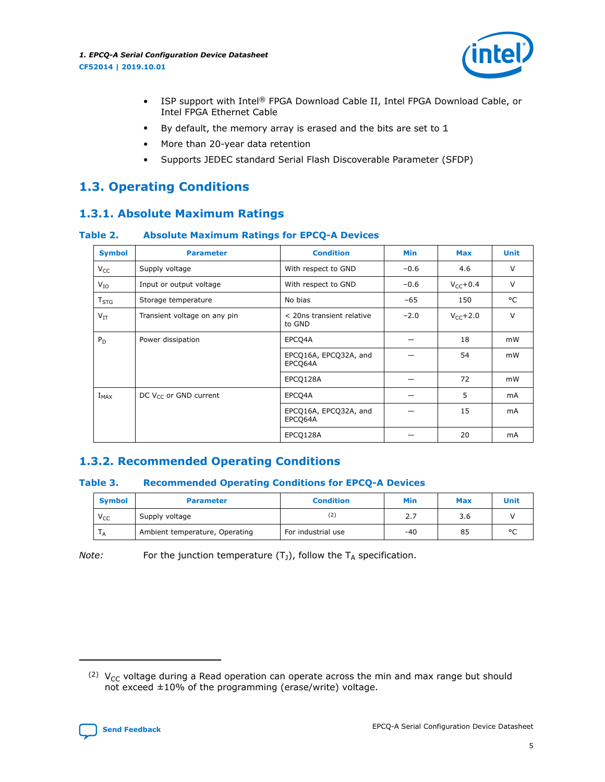

- <span id="page-4-0"></span>• ISP support with Intel® FPGA Download Cable II, Intel FPGA Download Cable, or Intel FPGA Ethernet Cable
- By default, the memory array is erased and the bits are set to 1
- More than 20-year data retention
- Supports JEDEC standard Serial Flash Discoverable Parameter (SFDP)

# **1.3. Operating Conditions**

# **1.3.1. Absolute Maximum Ratings**

#### **Table 2. Absolute Maximum Ratings for EPCQ-A Devices**

| <b>Symbol</b>    | <b>Parameter</b>             | <b>Condition</b>                    | Min    | <b>Max</b>           | <b>Unit</b> |
|------------------|------------------------------|-------------------------------------|--------|----------------------|-------------|
| $V_{CC}$         | Supply voltage               | With respect to GND                 | $-0.6$ | 4.6                  | V           |
| $V_{IO}$         | Input or output voltage      | With respect to GND                 | $-0.6$ | $V_{\text{CC}}+0.4$  | V           |
| T <sub>STG</sub> | Storage temperature          | No bias                             | -65    | 150                  | °C          |
| $V_{IT}$         | Transient voltage on any pin | < 20ns transient relative<br>to GND | $-2.0$ | $V_{\text{CC}}$ +2.0 | $\vee$      |
| $P_D$            | Power dissipation            | EPCO4A                              |        | 18                   | mW          |
|                  |                              | EPCQ16A, EPCQ32A, and<br>EPCQ64A    |        | 54                   | mW          |
|                  |                              | EPCQ128A                            |        | 72                   | mW          |
| $I_{MAX}$        | DC $V_{CC}$ or GND current   | EPCO4A                              |        | 5                    | mA          |
|                  |                              | EPCQ16A, EPCQ32A, and<br>EPCQ64A    |        | 15                   | mA          |
|                  |                              | EPCO128A                            |        | 20                   | mA          |

# **1.3.2. Recommended Operating Conditions**

#### **Table 3. Recommended Operating Conditions for EPCQ-A Devices**

| <b>Symbol</b> | <b>Condition</b><br><b>Parameter</b> |                    | Min   | <b>Max</b> | Unit    |
|---------------|--------------------------------------|--------------------|-------|------------|---------|
| $V_{CC}$      | Supply voltage                       |                    | 2.7   | 3.6        |         |
| $^{\prime}$ A | Ambient temperature, Operating       | For industrial use | $-40$ | 85         | $\circ$ |

*Note:* For the junction temperature  $(T_J)$ , follow the  $T_A$  specification.

<sup>(2)</sup>  $V_{CC}$  voltage during a Read operation can operate across the min and max range but should not exceed ±10% of the programming (erase/write) voltage.

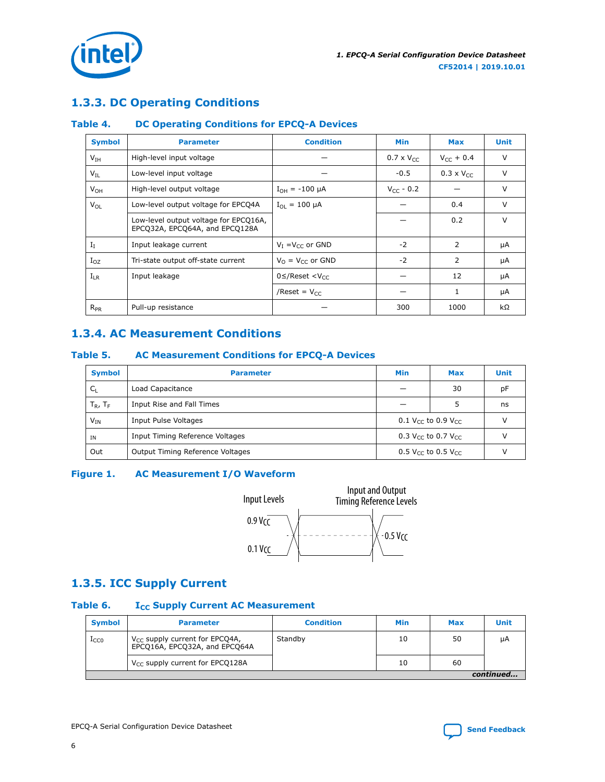<span id="page-5-0"></span>

# **1.3.3. DC Operating Conditions**

#### **Table 4. DC Operating Conditions for EPCQ-A Devices**

| <b>Symbol</b>   | <b>Parameter</b>                                                        | <b>Condition</b>                  | <b>Min</b>          | Max                 | <b>Unit</b> |
|-----------------|-------------------------------------------------------------------------|-----------------------------------|---------------------|---------------------|-------------|
| V <sub>IH</sub> | High-level input voltage                                                |                                   | $0.7 \times V_{CC}$ | $V_{cr}$ + 0.4      | V           |
| $V_{\rm IL}$    | Low-level input voltage                                                 |                                   | $-0.5$              | $0.3 \times V_{CC}$ | v           |
| $V_{OH}$        | High-level output voltage                                               | $I_{OH} = -100 \mu A$             | $V_{CC}$ - 0.2      |                     | v           |
| $V_{OL}$        | Low-level output voltage for EPCQ4A                                     | $I_{\Omega I} = 100 \mu A$        |                     | 0.4                 | V           |
|                 | Low-level output voltage for EPCQ16A,<br>EPCQ32A, EPCQ64A, and EPCQ128A |                                   |                     | 0.2                 | v           |
| $I_I$           | Input leakage current                                                   | $V_I = V_{cc}$ or GND             | $-2$                | $\mathcal{P}$       | μA          |
| $I_{OZ}$        | Tri-state output off-state current                                      | $V_0 = V_{cc}$ or GND             | $-2$                | 2                   | μA          |
| $I_{LR}$        | Input leakage                                                           | $0 \leq$ /Reset <v<sub>cc</v<sub> |                     | 12                  | μA          |
|                 |                                                                         | /Reset = $V_{CC}$                 |                     | 1                   | μA          |
| $R_{PR}$        | Pull-up resistance                                                      |                                   | 300                 | 1000                | kΩ          |

# **1.3.4. AC Measurement Conditions**

#### **Table 5. AC Measurement Conditions for EPCQ-A Devices**

| <b>Symbol</b> | <b>Parameter</b>                                                                 | <b>Min</b>                                 | Max | <b>Unit</b> |  |
|---------------|----------------------------------------------------------------------------------|--------------------------------------------|-----|-------------|--|
| $C_{1}$       | Load Capacitance                                                                 |                                            | 30  | pF          |  |
| $T_R$ , $T_F$ | Input Rise and Fall Times                                                        |                                            |     | ns          |  |
| $V_{IN}$      | Input Pulse Voltages                                                             | 0.1 V <sub>CC</sub> to 0.9 V <sub>CC</sub> |     |             |  |
| <b>IN</b>     | Input Timing Reference Voltages                                                  | 0.3 V <sub>CC</sub> to 0.7 V <sub>CC</sub> |     |             |  |
| Out           | Output Timing Reference Voltages<br>$0.5$ V <sub>CC</sub> to 0.5 V <sub>CC</sub> |                                            |     |             |  |

#### **Figure 1. AC Measurement I/O Waveform**



# **1.3.5. ICC Supply Current**

#### Table 6. **I**<sub>CC</sub> Supply Current AC Measurement

| <b>Symbol</b> | <b>Parameter</b>                                                     | <b>Condition</b> | Min | <b>Max</b> | Unit |  |  |
|---------------|----------------------------------------------------------------------|------------------|-----|------------|------|--|--|
| $1_{CC0}$     | $V_{CC}$ supply current for EPCQ4A,<br>EPCQ16A, EPCQ32A, and EPCQ64A | Standby          | 10  | 50         | uА   |  |  |
|               | V <sub>CC</sub> supply current for EPCQ128A                          |                  | 10  | 60         |      |  |  |
|               | continued                                                            |                  |     |            |      |  |  |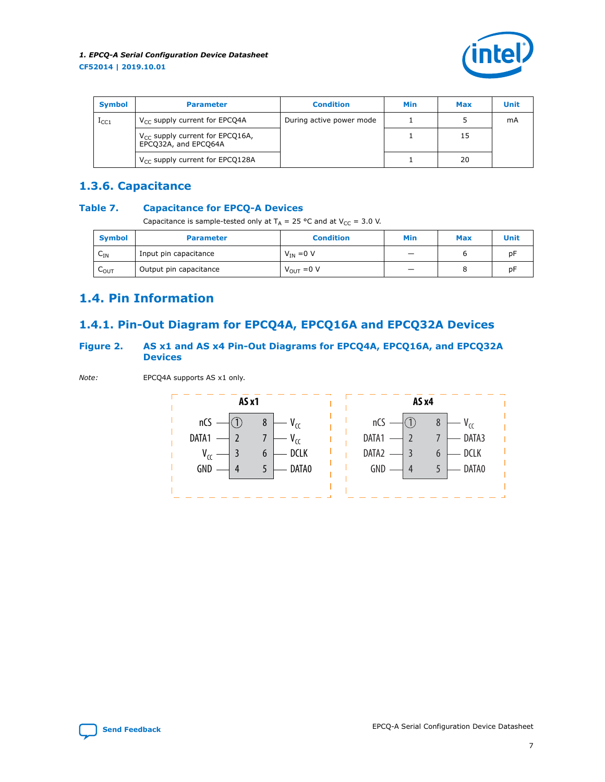

<span id="page-6-0"></span>

| <b>Symbol</b>    | <b>Parameter</b>                                             | <b>Condition</b>         | Min | <b>Max</b> | <b>Unit</b> |
|------------------|--------------------------------------------------------------|--------------------------|-----|------------|-------------|
| 1 <sub>CC1</sub> | $V_{CC}$ supply current for EPCQ4A                           | During active power mode |     |            | mA          |
|                  | $V_{CC}$ supply current for EPCQ16A,<br>EPCQ32A, and EPCQ64A |                          |     | 15         |             |
|                  | $V_{CC}$ supply current for EPCQ128A                         |                          |     | 20         |             |

# **1.3.6. Capacitance**

#### **Table 7. Capacitance for EPCQ-A Devices**

Capacitance is sample-tested only at  $T_A = 25$  °C and at  $V_{CC} = 3.0$  V.

| <b>Symbol</b>                        | <b>Parameter</b>       | <b>Condition</b>       | Min | <b>Max</b> | Unit |
|--------------------------------------|------------------------|------------------------|-----|------------|------|
| $\overline{\phantom{0}}$<br>$C_{IN}$ | Input pin capacitance  | $V_{IN} = 0 V$         |     |            | рF   |
| $\sim$<br>LOUT                       | Output pin capacitance | $V_{\text{OUT}} = 0 V$ |     |            | рF   |

# **1.4. Pin Information**

# **1.4.1. Pin-Out Diagram for EPCQ4A, EPCQ16A and EPCQ32A Devices**

#### **Figure 2. AS x1 and AS x4 Pin-Out Diagrams for EPCQ4A, EPCQ16A, and EPCQ32A Devices**

*Note:* EPCQ4A supports AS x1 only.



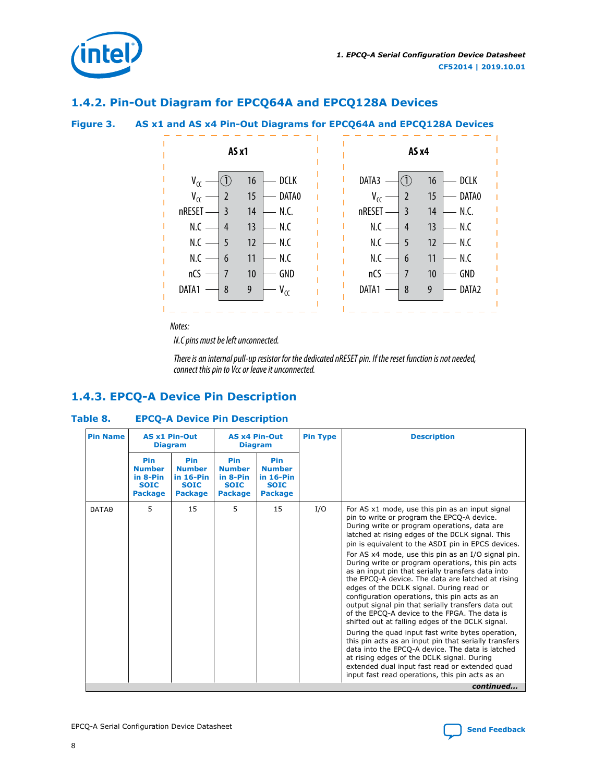<span id="page-7-0"></span>

### **1.4.2. Pin-Out Diagram for EPCQ64A and EPCQ128A Devices**





*Notes:*

*N.C pins must be left unconnected.*

*There is an internal pull-up resistor for the dedicated nRESET pin. If the reset function is not needed, connect this pin to Vcc or leave it unconnected.*

# **1.4.3. EPCQ-A Device Pin Description**

#### **Table 8. EPCQ-A Device Pin Description**

| <b>Pin Name</b> | <b>AS x1 Pin-Out</b><br><b>Diagram</b>                            |                                                                      | <b>AS x4 Pin-Out</b><br><b>Diagram</b>                            |                                                                             | <b>Pin Type</b> | <b>Description</b>                                                                                                                                                                                                                                                                                                                                                                                                                                                                                                                                                                                                                                                                                                                                                                                                                                                                                                                                                                                                                                        |
|-----------------|-------------------------------------------------------------------|----------------------------------------------------------------------|-------------------------------------------------------------------|-----------------------------------------------------------------------------|-----------------|-----------------------------------------------------------------------------------------------------------------------------------------------------------------------------------------------------------------------------------------------------------------------------------------------------------------------------------------------------------------------------------------------------------------------------------------------------------------------------------------------------------------------------------------------------------------------------------------------------------------------------------------------------------------------------------------------------------------------------------------------------------------------------------------------------------------------------------------------------------------------------------------------------------------------------------------------------------------------------------------------------------------------------------------------------------|
|                 | Pin<br><b>Number</b><br>in 8-Pin<br><b>SOIC</b><br><b>Package</b> | Pin<br><b>Number</b><br>$in 16-Pin$<br><b>SOIC</b><br><b>Package</b> | Pin<br><b>Number</b><br>in 8-Pin<br><b>SOIC</b><br><b>Package</b> | <b>Pin</b><br><b>Number</b><br>$in 16-Pin$<br><b>SOIC</b><br><b>Package</b> |                 |                                                                                                                                                                                                                                                                                                                                                                                                                                                                                                                                                                                                                                                                                                                                                                                                                                                                                                                                                                                                                                                           |
| DATA0           | 5                                                                 | 15                                                                   | 5.                                                                | 15                                                                          | I/O             | For AS x1 mode, use this pin as an input signal<br>pin to write or program the EPCQ-A device.<br>During write or program operations, data are<br>latched at rising edges of the DCLK signal. This<br>pin is equivalent to the ASDI pin in EPCS devices.<br>For AS x4 mode, use this pin as an I/O signal pin.<br>During write or program operations, this pin acts<br>as an input pin that serially transfers data into<br>the EPCQ-A device. The data are latched at rising<br>edges of the DCLK signal. During read or<br>configuration operations, this pin acts as an<br>output signal pin that serially transfers data out<br>of the EPCQ-A device to the FPGA. The data is<br>shifted out at falling edges of the DCLK signal.<br>During the quad input fast write bytes operation,<br>this pin acts as an input pin that serially transfers<br>data into the EPCQ-A device. The data is latched<br>at rising edges of the DCLK signal. During<br>extended dual input fast read or extended quad<br>input fast read operations, this pin acts as an |
|                 |                                                                   |                                                                      |                                                                   |                                                                             |                 | continued                                                                                                                                                                                                                                                                                                                                                                                                                                                                                                                                                                                                                                                                                                                                                                                                                                                                                                                                                                                                                                                 |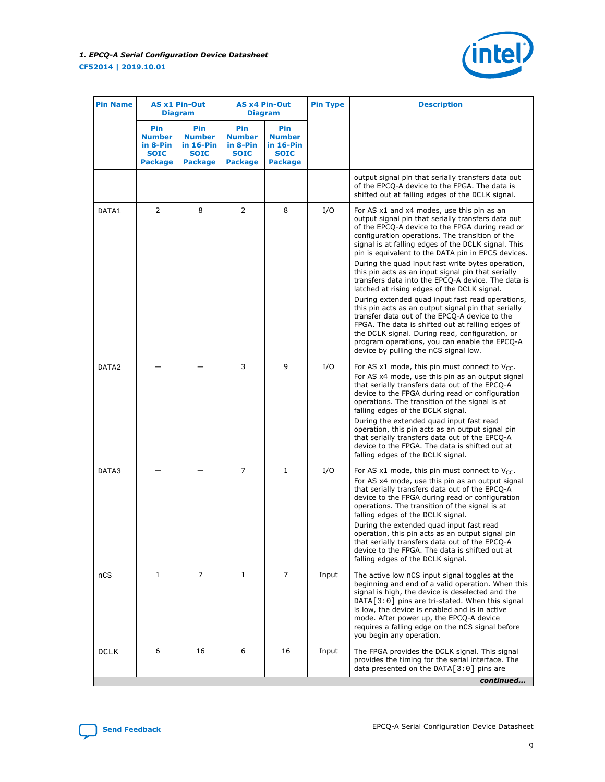

| <b>Pin Name</b> |                                                                   | <b>AS x1 Pin-Out</b><br><b>Diagram</b>                                    |                                                                   | <b>AS x4 Pin-Out</b><br><b>Diagram</b>                               |       | <b>Description</b>                                                                                                                                                                                                                                                                                                                                                                                                                                                                                                                                                                                                                                                                                                                                                                                                                                                                                |
|-----------------|-------------------------------------------------------------------|---------------------------------------------------------------------------|-------------------------------------------------------------------|----------------------------------------------------------------------|-------|---------------------------------------------------------------------------------------------------------------------------------------------------------------------------------------------------------------------------------------------------------------------------------------------------------------------------------------------------------------------------------------------------------------------------------------------------------------------------------------------------------------------------------------------------------------------------------------------------------------------------------------------------------------------------------------------------------------------------------------------------------------------------------------------------------------------------------------------------------------------------------------------------|
|                 | Pin<br><b>Number</b><br>in 8-Pin<br><b>SOIC</b><br><b>Package</b> | <b>Pin</b><br><b>Number</b><br>in 16-Pin<br><b>SOIC</b><br><b>Package</b> | Pin<br><b>Number</b><br>in 8-Pin<br><b>SOIC</b><br><b>Package</b> | Pin<br><b>Number</b><br>$in 16-Pin$<br><b>SOIC</b><br><b>Package</b> |       |                                                                                                                                                                                                                                                                                                                                                                                                                                                                                                                                                                                                                                                                                                                                                                                                                                                                                                   |
|                 |                                                                   |                                                                           |                                                                   |                                                                      |       | output signal pin that serially transfers data out<br>of the EPCQ-A device to the FPGA. The data is<br>shifted out at falling edges of the DCLK signal.                                                                                                                                                                                                                                                                                                                                                                                                                                                                                                                                                                                                                                                                                                                                           |
| DATA1           | 2                                                                 | 8                                                                         | 2                                                                 | 8                                                                    | I/O   | For AS x1 and x4 modes, use this pin as an<br>output signal pin that serially transfers data out<br>of the EPCQ-A device to the FPGA during read or<br>configuration operations. The transition of the<br>signal is at falling edges of the DCLK signal. This<br>pin is equivalent to the DATA pin in EPCS devices.<br>During the quad input fast write bytes operation,<br>this pin acts as an input signal pin that serially<br>transfers data into the EPCQ-A device. The data is<br>latched at rising edges of the DCLK signal.<br>During extended quad input fast read operations,<br>this pin acts as an output signal pin that serially<br>transfer data out of the EPCQ-A device to the<br>FPGA. The data is shifted out at falling edges of<br>the DCLK signal. During read, configuration, or<br>program operations, you can enable the EPCQ-A<br>device by pulling the nCS signal low. |
| DATA2           |                                                                   |                                                                           | 3                                                                 | 9                                                                    | I/O   | For AS x1 mode, this pin must connect to $V_{CC}$ .<br>For AS x4 mode, use this pin as an output signal<br>that serially transfers data out of the EPCQ-A<br>device to the FPGA during read or configuration<br>operations. The transition of the signal is at<br>falling edges of the DCLK signal.<br>During the extended quad input fast read<br>operation, this pin acts as an output signal pin<br>that serially transfers data out of the EPCQ-A<br>device to the FPGA. The data is shifted out at<br>falling edges of the DCLK signal.                                                                                                                                                                                                                                                                                                                                                      |
| DATA3           |                                                                   |                                                                           | $\overline{7}$                                                    | $\mathbf{1}$                                                         | I/O   | For AS x1 mode, this pin must connect to $V_{CC}$ .<br>For AS x4 mode, use this pin as an output signal<br>that serially transfers data out of the EPCQ-A<br>device to the FPGA during read or configuration<br>operations. The transition of the signal is at<br>falling edges of the DCLK signal.<br>During the extended quad input fast read<br>operation, this pin acts as an output signal pin<br>that serially transfers data out of the EPCQ-A<br>device to the FPGA. The data is shifted out at<br>falling edges of the DCLK signal.                                                                                                                                                                                                                                                                                                                                                      |
| nCS             | $\mathbf{1}$                                                      | 7                                                                         | $\mathbf{1}$                                                      | 7                                                                    | Input | The active low nCS input signal toggles at the<br>beginning and end of a valid operation. When this<br>signal is high, the device is deselected and the<br>DATA[3:0] pins are tri-stated. When this signal<br>is low, the device is enabled and is in active<br>mode. After power up, the EPCQ-A device<br>requires a falling edge on the nCS signal before<br>you begin any operation.                                                                                                                                                                                                                                                                                                                                                                                                                                                                                                           |
| DCLK            | 6                                                                 | 16                                                                        | 6                                                                 | 16                                                                   | Input | The FPGA provides the DCLK signal. This signal<br>provides the timing for the serial interface. The<br>data presented on the $DATA[3:0]$ pins are<br>continued                                                                                                                                                                                                                                                                                                                                                                                                                                                                                                                                                                                                                                                                                                                                    |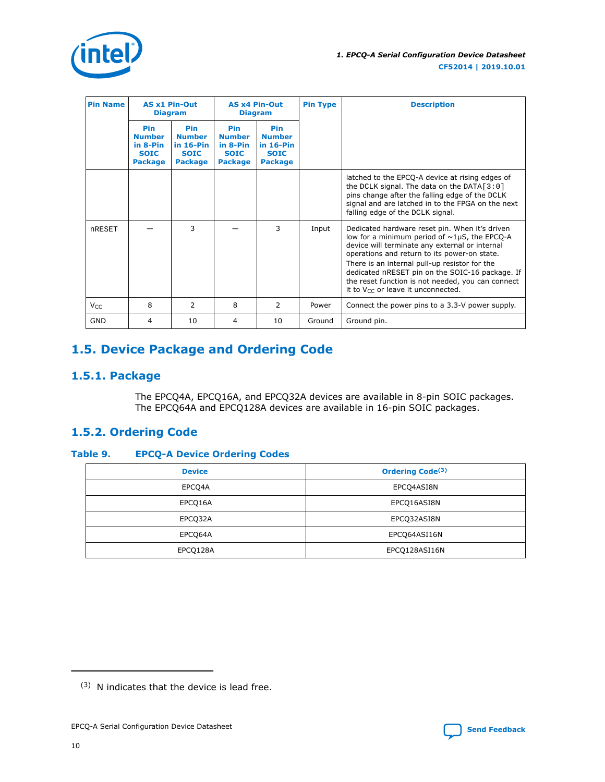<span id="page-9-0"></span>

| <b>Pin Name</b> | <b>AS x1 Pin-Out</b><br><b>Diagram</b>                            |                                                                       |                                                                          | <b>AS x4 Pin-Out</b><br><b>Diagram</b>                                       | <b>Pin Type</b> | <b>Description</b>                                                                                                                                                                                                                                                                                                                                                                                         |
|-----------------|-------------------------------------------------------------------|-----------------------------------------------------------------------|--------------------------------------------------------------------------|------------------------------------------------------------------------------|-----------------|------------------------------------------------------------------------------------------------------------------------------------------------------------------------------------------------------------------------------------------------------------------------------------------------------------------------------------------------------------------------------------------------------------|
|                 | Pin<br><b>Number</b><br>in 8-Pin<br><b>SOIC</b><br><b>Package</b> | Pin<br><b>Number</b><br>in $16-P$ in<br><b>SOIC</b><br><b>Package</b> | <b>Pin</b><br><b>Number</b><br>in 8-Pin<br><b>SOIC</b><br><b>Package</b> | <b>Pin</b><br><b>Number</b><br>in $16-P$ in<br><b>SOIC</b><br><b>Package</b> |                 |                                                                                                                                                                                                                                                                                                                                                                                                            |
|                 |                                                                   |                                                                       |                                                                          |                                                                              |                 | latched to the EPCQ-A device at rising edges of<br>the DCLK signal. The data on the DATA $[3:0]$<br>pins change after the falling edge of the DCLK<br>signal and are latched in to the FPGA on the next<br>falling edge of the DCLK signal.                                                                                                                                                                |
| <b>nRESET</b>   |                                                                   | 3                                                                     |                                                                          | 3                                                                            | Input           | Dedicated hardware reset pin. When it's driven<br>low for a minimum period of $\sim$ 1µS, the EPCQ-A<br>device will terminate any external or internal<br>operations and return to its power-on state.<br>There is an internal pull-up resistor for the<br>dedicated nRESET pin on the SOIC-16 package. If<br>the reset function is not needed, you can connect<br>it to $V_{CC}$ or leave it unconnected. |
| $V_{CC}$        | 8                                                                 | 2                                                                     | 8                                                                        | 2                                                                            | Power           | Connect the power pins to a 3.3-V power supply.                                                                                                                                                                                                                                                                                                                                                            |
| <b>GND</b>      | 4                                                                 | 10                                                                    | 4                                                                        | 10                                                                           | Ground          | Ground pin.                                                                                                                                                                                                                                                                                                                                                                                                |

# **1.5. Device Package and Ordering Code**

# **1.5.1. Package**

The EPCQ4A, EPCQ16A, and EPCQ32A devices are available in 8-pin SOIC packages. The EPCQ64A and EPCQ128A devices are available in 16-pin SOIC packages.

# **1.5.2. Ordering Code**

#### **Table 9. EPCQ-A Device Ordering Codes**

| <b>Device</b> | <b>Ordering Code<sup>(3)</sup></b> |
|---------------|------------------------------------|
| EPCQ4A        | EPCQ4ASI8N                         |
| EPCQ16A       | EPCQ16ASI8N                        |
| EPCQ32A       | EPCQ32ASI8N                        |
| EPCQ64A       | EPCQ64ASI16N                       |
| EPCQ128A      | EPCQ128ASI16N                      |



 $(3)$  N indicates that the device is lead free.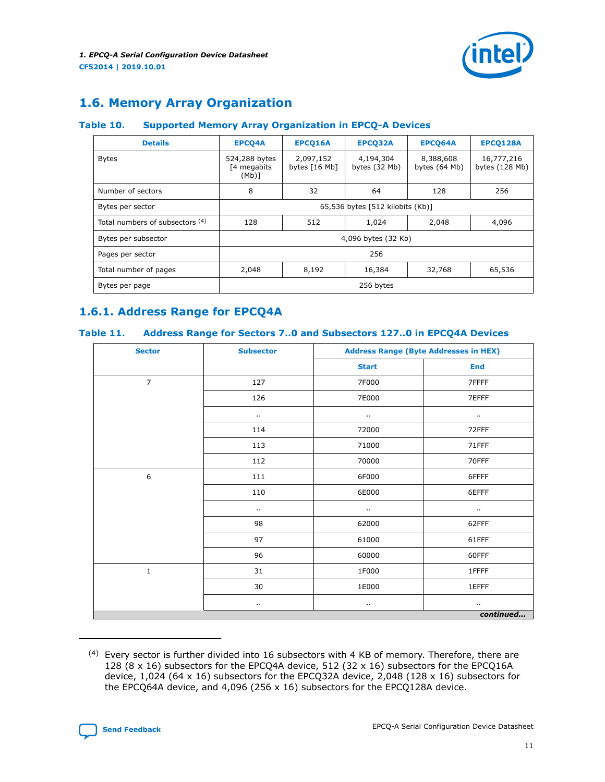

# <span id="page-10-0"></span>**1.6. Memory Array Organization**

#### **Table 10. Supported Memory Array Organization in EPCQ-A Devices**

| <b>Details</b>                  | <b>EPCQ4A</b>                             | EPCQ16A                      | EPCQ32A                    | EPCQ64A                    | EPCQ128A                       |  |
|---------------------------------|-------------------------------------------|------------------------------|----------------------------|----------------------------|--------------------------------|--|
| <b>Bytes</b>                    | 524,288 bytes<br>[4 megabits]<br>$(Mb)$ ] | 2,097,152<br>bytes $[16 Mb]$ | 4,194,304<br>bytes (32 Mb) | 8,388,608<br>bytes (64 Mb) | 16,777,216<br>bytes $(128 Mb)$ |  |
| Number of sectors               | 8                                         | 32                           | 64                         | 128                        | 256                            |  |
| Bytes per sector                | 65,536 bytes [512 kilobits (Kb)]          |                              |                            |                            |                                |  |
| Total numbers of subsectors (4) | 128                                       | 512                          | 1,024                      | 2,048                      | 4,096                          |  |
| Bytes per subsector             | 4,096 bytes (32 Kb)                       |                              |                            |                            |                                |  |
| Pages per sector                | 256                                       |                              |                            |                            |                                |  |
| Total number of pages           | 2,048                                     | 8,192                        | 16,384                     | 32,768                     | 65,536                         |  |
| Bytes per page                  | 256 bytes                                 |                              |                            |                            |                                |  |

# **1.6.1. Address Range for EPCQ4A**

#### **Table 11. Address Range for Sectors 7..0 and Subsectors 127..0 in EPCQ4A Devices**

| <b>Sector</b>  | <b>Subsector</b>     | <b>Address Range (Byte Addresses in HEX)</b> |                      |  |
|----------------|----------------------|----------------------------------------------|----------------------|--|
|                |                      | <b>Start</b>                                 | <b>End</b>           |  |
| $\overline{7}$ | 127                  | 7F000                                        | 7FFFF                |  |
|                | 126                  | 7E000                                        | 7EFFF                |  |
|                | $\ddot{\phantom{1}}$ | Ω.                                           | $\cdot$ .            |  |
|                | 114                  | 72000                                        | 72FFF                |  |
|                | 113                  | 71000                                        | 71FFF                |  |
|                | 112                  | 70000                                        | 70FFF                |  |
| 6              | 111                  | 6F000                                        | 6FFFF                |  |
|                | 110                  | 6E000                                        | 6EFFF                |  |
|                | $\cdots$             | $\ddot{\phantom{1}}$                         | $\ddot{\phantom{1}}$ |  |
|                | 98                   | 62000                                        | 62FFF                |  |
|                | 97                   | 61000                                        | 61FFF                |  |
|                | 96                   | 60000                                        | 60FFF                |  |
| $\mathbf{1}$   | 31                   | 1F000                                        | 1FFFF                |  |
|                | 30                   | 1E000                                        | 1EFFF                |  |
|                | $\cdot$ .            | $\ddot{\phantom{1}}$                         | $\ddot{\phantom{1}}$ |  |
|                |                      |                                              | continued            |  |

<sup>(4)</sup> Every sector is further divided into 16 subsectors with 4 KB of memory. Therefore, there are 128 (8 x 16) subsectors for the EPCQ4A device, 512 (32 x 16) subsectors for the EPCQ16A device, 1,024 (64 x 16) subsectors for the EPCQ32A device, 2,048 (128 x 16) subsectors for the EPCQ64A device, and 4,096 (256 x 16) subsectors for the EPCQ128A device.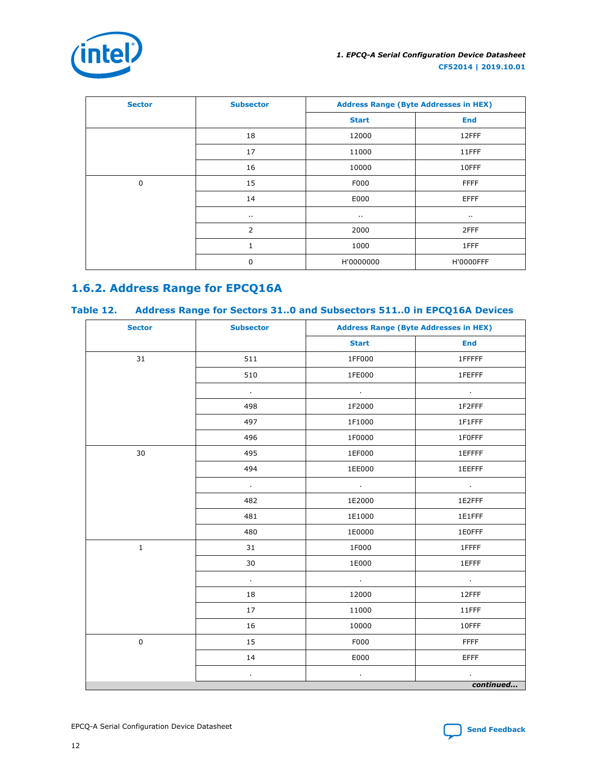

<span id="page-11-0"></span>

| <b>Sector</b> | <b>Subsector</b> | <b>Address Range (Byte Addresses in HEX)</b> |                  |
|---------------|------------------|----------------------------------------------|------------------|
|               |                  | <b>Start</b>                                 | <b>End</b>       |
|               | 18               | 12000                                        | 12FFF            |
|               | 17               | 11000                                        | 11FFF            |
|               | 16               | 10000                                        | 10FFF            |
| $\mathbf 0$   | 15               | F000                                         | <b>FFFF</b>      |
|               | 14               | E000                                         | <b>EFFF</b>      |
|               | $\sim$           | $\cdots$                                     | $\cdots$         |
|               | $\overline{2}$   | 2000                                         | 2FFF             |
|               | 1                | 1000                                         | 1FFF             |
|               | 0                | H'0000000                                    | <b>H'0000FFF</b> |

# **1.6.2. Address Range for EPCQ16A**

#### **Table 12. Address Range for Sectors 31..0 and Subsectors 511..0 in EPCQ16A Devices**

| <b>Sector</b> | <b>Subsector</b> | <b>Address Range (Byte Addresses in HEX)</b> |             |  |
|---------------|------------------|----------------------------------------------|-------------|--|
|               |                  | <b>Start</b>                                 | <b>End</b>  |  |
| 31            | 511              | 1FF000                                       | 1FFFFF      |  |
|               | 510              | 1FE000                                       | 1FEFFF      |  |
|               | $\mathbf{r}$     | $\sim$                                       | $\epsilon$  |  |
|               | 498              | 1F2000                                       | 1F2FFF      |  |
|               | 497              | 1F1000                                       | 1F1FFF      |  |
|               | 496              | 1F0000                                       | 1F0FFF      |  |
| 30            | 495              | 1EF000                                       | 1EFFFF      |  |
|               | 494              | 1EE000                                       | 1EEFFF      |  |
|               | $\epsilon$       | $\mathcal{L}_{\mathcal{A}}$                  | $\sim$      |  |
|               | 482              | 1E2000                                       | 1E2FFF      |  |
|               | 481              | 1E1000                                       | 1E1FFF      |  |
|               | 480              | 1E0000                                       | 1E0FFF      |  |
| $\mathbf 1$   | 31               | 1F000                                        | 1FFFF       |  |
|               | 30               | 1E000                                        | 1EFFF       |  |
|               | $\mathcal{L}$    | $\sim$                                       | $\epsilon$  |  |
|               | 18               | 12000                                        | 12FFF       |  |
|               | 17               | 11000                                        | 11FFF       |  |
|               | 16               | 10000                                        | 10FFF       |  |
| $\pmb{0}$     | 15               | F000                                         | <b>FFFF</b> |  |
|               | 14               | E000                                         | <b>EFFF</b> |  |
|               | $\epsilon$       | $\blacksquare$                               |             |  |
|               |                  |                                              | continued   |  |

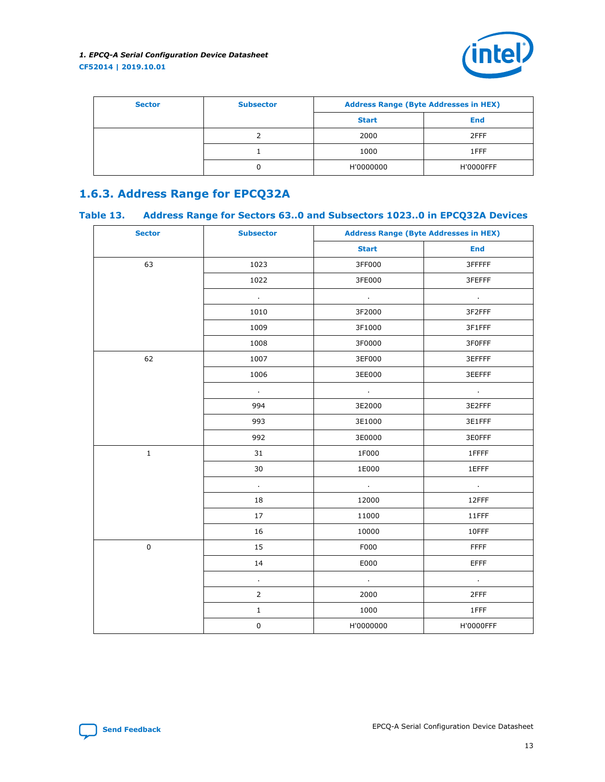

<span id="page-12-0"></span>

| <b>Sector</b> | <b>Subsector</b> | <b>Address Range (Byte Addresses in HEX)</b> |                  |
|---------------|------------------|----------------------------------------------|------------------|
|               |                  | <b>Start</b>                                 | <b>End</b>       |
|               |                  | 2000                                         | 2FFF             |
|               |                  | 1000                                         | 1FFF             |
|               |                  | H'0000000                                    | <b>H'0000FFF</b> |

# **1.6.3. Address Range for EPCQ32A**

## **Table 13. Address Range for Sectors 63..0 and Subsectors 1023..0 in EPCQ32A Devices**

| <b>Sector</b> | <b>Subsector</b> | <b>Address Range (Byte Addresses in HEX)</b> |             |  |
|---------------|------------------|----------------------------------------------|-------------|--|
|               |                  | <b>Start</b>                                 | <b>End</b>  |  |
| 63            | 1023             | 3FF000                                       | 3FFFFF      |  |
|               | 1022             | 3FE000                                       | 3FEFFF      |  |
|               | $\epsilon$       | $\sim$                                       | $\epsilon$  |  |
|               | 1010             | 3F2000                                       | 3F2FFF      |  |
|               | 1009             | 3F1000                                       | 3F1FFF      |  |
|               | 1008             | 3F0000                                       | 3F0FFF      |  |
| 62            | 1007             | 3EF000                                       | 3EFFFF      |  |
|               | 1006             | 3EE000                                       | 3EEFFF      |  |
|               | $\sim$           | $\sim 10^{-1}$                               | $\sim 100$  |  |
|               | 994              | 3E2000                                       | 3E2FFF      |  |
|               | 993              | 3E1000                                       | 3E1FFF      |  |
|               | 992              | 3E0000                                       | 3E0FFF      |  |
| $\mathbf 1$   | 31               | 1F000                                        | 1FFFF       |  |
|               | 30               | 1E000                                        | 1EFFF       |  |
|               | $\epsilon$       | $\epsilon$                                   | $\epsilon$  |  |
|               | 18               | 12000                                        | 12FFF       |  |
|               | 17               | 11000                                        | 11FFF       |  |
|               | 16               | 10000                                        | 10FFF       |  |
| $\pmb{0}$     | 15               | F000                                         | <b>FFFF</b> |  |
|               | 14               | E000                                         | <b>EFFF</b> |  |
|               | $\epsilon$       | $\sim$                                       | ¥.          |  |
|               | $\overline{2}$   | 2000                                         | 2FFF        |  |
|               | $\mathbf 1$      | 1000                                         | 1FFF        |  |
|               | $\pmb{0}$        | H'0000000                                    | H'0000FFF   |  |

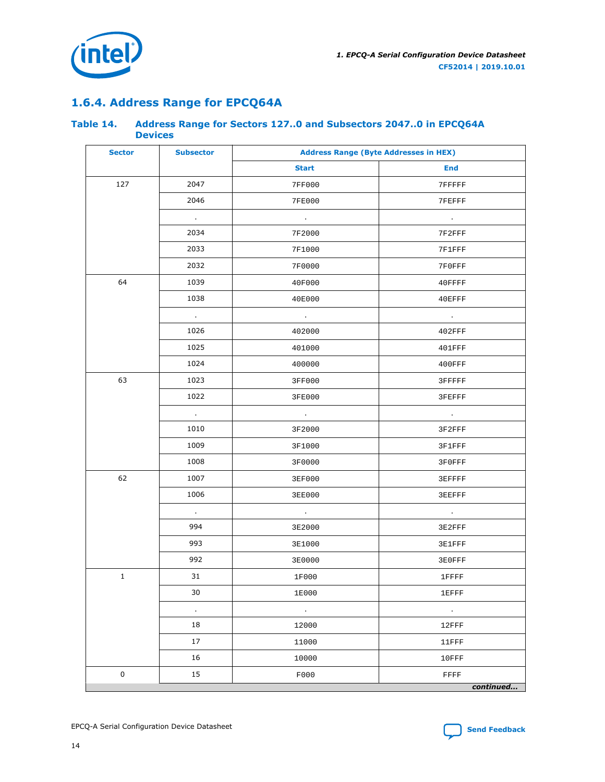<span id="page-13-0"></span>

# **1.6.4. Address Range for EPCQ64A**

#### **Table 14. Address Range for Sectors 127..0 and Subsectors 2047..0 in EPCQ64A Devices**

| <b>Sector</b> | <b>Subsector</b> | <b>Address Range (Byte Addresses in HEX)</b> |              |  |
|---------------|------------------|----------------------------------------------|--------------|--|
|               |                  | <b>Start</b>                                 | End          |  |
| 127           | 2047             | 7FF000                                       | 7FFFFF       |  |
|               | 2046             | 7FE000                                       | 7FEFFF       |  |
|               | $\sim$           | $\sim$                                       | $\sim$       |  |
|               | 2034             | 7F2000                                       | 7F2FFF       |  |
|               | 2033             | 7F1000                                       | 7F1FFF       |  |
|               | 2032             | 7F0000                                       | 7F0FFF       |  |
| 64            | 1039             | 40F000                                       | 40FFFF       |  |
|               | 1038             | 40E000                                       | 40EFFF       |  |
|               | $\sim$           | $\sim 100$                                   | $\sim 100$   |  |
|               | 1026             | 402000                                       | $402$ FFF    |  |
|               | 1025             | 401000                                       | $401$ FFF    |  |
|               | 1024             | 400000                                       | $400$ FFF    |  |
| 63            | 1023             | 3FF000                                       | 3FFFFF       |  |
|               | 1022             | 3FE000                                       | 3FEFFF       |  |
|               | $\sim$           | $\sim 10^{-1}$                               | $\sim$       |  |
|               | 1010             | 3F2000                                       | 3F2FFF       |  |
|               | 1009             | 3F1000                                       | 3F1FFF       |  |
|               | 1008             | 3F0000                                       | 3F0FFF       |  |
| 62            | 1007             | <b>3EF000</b>                                | 3EFFFF       |  |
|               | 1006             | 3EE000                                       | 3EEFFF       |  |
|               | $\sim$           | $\sim 10$                                    | $\sim$       |  |
|               | 994              | 3E2000                                       | 3E2FFF       |  |
|               | 993              | 3E1000                                       | 3E1FFF       |  |
|               | 992              | 3E0000                                       | 3E0FFF       |  |
| $\mathbf{1}$  | 31               | 1F000                                        | 1FFFF        |  |
|               | 30               | 1E000                                        | <b>1EFFF</b> |  |
|               | $\bullet$        | $\sim$                                       | $\epsilon$   |  |
|               | 18               | 12000                                        | 12FFF        |  |
|               | 17               | 11000                                        | 11FFF        |  |
|               | 16               | 10000                                        | 10FFF        |  |
| $\pmb{0}$     | 15               | F000                                         | FFFF         |  |
|               |                  |                                              | continued    |  |

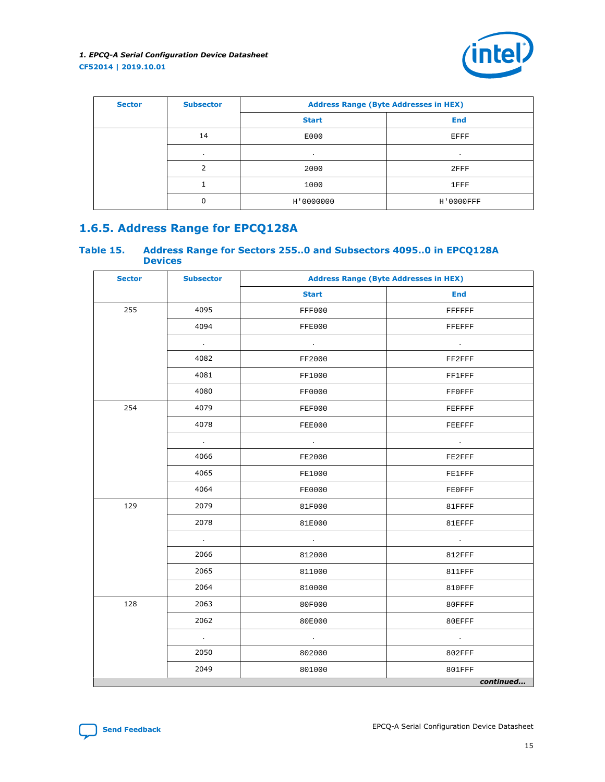

<span id="page-14-0"></span>

| <b>Sector</b> | <b>Subsector</b> | <b>Address Range (Byte Addresses in HEX)</b> |            |  |
|---------------|------------------|----------------------------------------------|------------|--|
|               |                  | <b>Start</b>                                 | <b>End</b> |  |
|               | 14               | E000                                         | EFFF       |  |
|               |                  | $\mathbf{r}$                                 | $\cdot$    |  |
|               | $\mathcal{D}$    | 2000                                         | $2$ $FFF$  |  |
|               |                  | 1000                                         | 1FFF       |  |
|               | 0                | H'0000000                                    | H'0000FFF  |  |

## **1.6.5. Address Range for EPCQ128A**

#### **Table 15. Address Range for Sectors 255..0 and Subsectors 4095..0 in EPCQ128A Devices**

| <b>Sector</b> | <b>Subsector</b> | <b>Address Range (Byte Addresses in HEX)</b> |               |  |
|---------------|------------------|----------------------------------------------|---------------|--|
|               |                  | <b>Start</b>                                 | <b>End</b>    |  |
| 255           | 4095             | FFF000                                       | FFFFFF        |  |
|               | 4094             | FFE000                                       | FFEFFF        |  |
|               | $\sim 10^{-1}$   | $\sim 100$ km s $^{-1}$                      | $\sim 100$    |  |
|               | 4082             | FF2000                                       | FF2FFF        |  |
|               | 4081             | FF1000                                       | <b>FF1FFF</b> |  |
|               | 4080             | FF0000                                       | <b>FFOFFF</b> |  |
| 254           | 4079             | FEF000                                       | FEFFFF        |  |
|               | 4078             | FEE000                                       | FEEFFF        |  |
|               | $\sim$           | $\sim$                                       | $\sim$        |  |
|               | 4066             | FE2000                                       | FE2FFF        |  |
|               | 4065             | FE1000                                       | <b>FE1FFF</b> |  |
|               | 4064             | FE0000                                       | <b>FEOFFF</b> |  |
| 129           | 2079             | 81F000                                       | 81FFFF        |  |
|               | 2078             | 81E000                                       | 81EFFF        |  |
|               | $\sim$           | $\sim$                                       | $\sim$        |  |
|               | 2066             | 812000                                       | <b>812FFF</b> |  |
|               | 2065             | 811000                                       | 811FFF        |  |
|               | 2064             | 810000                                       | <b>810FFF</b> |  |
| 128           | 2063             | 80F000                                       | 80FFFF        |  |
|               | 2062             | 80E000                                       | 80EFFF        |  |
|               | $\sim$           | $\sim 10^{-1}$                               | $\sim$        |  |
|               | 2050             | 802000                                       | <b>802FFF</b> |  |
|               | 2049             | 801000                                       | 801FFF        |  |
|               |                  |                                              | continued     |  |

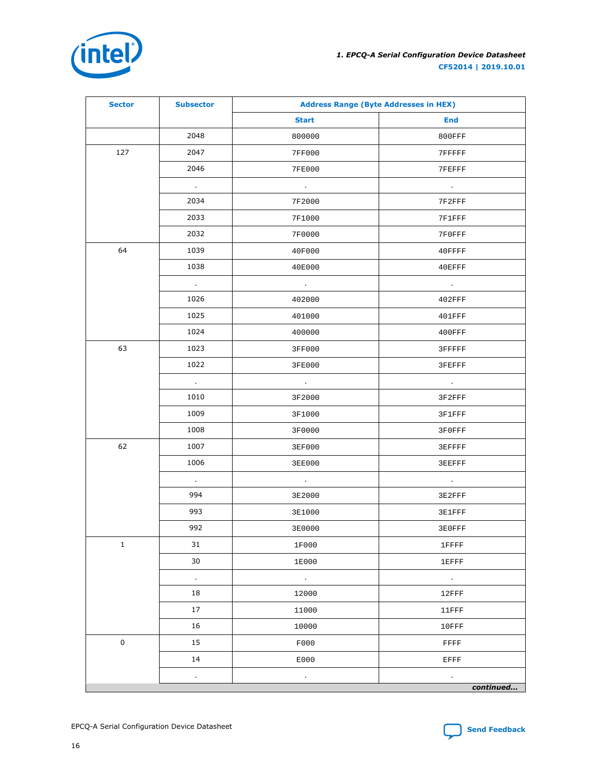

| <b>Sector</b> | <b>Subsector</b> | <b>Address Range (Byte Addresses in HEX)</b> |                 |  |
|---------------|------------------|----------------------------------------------|-----------------|--|
|               |                  | <b>Start</b>                                 | <b>End</b>      |  |
|               | 2048             | 800000                                       | <b>800FFF</b>   |  |
| 127           | 2047             | 7FF000                                       | 7FFFFF          |  |
|               | 2046             | 7FE000                                       | 7FEFFF          |  |
|               | $\sim$           | $\sim$                                       | $\sim 100$      |  |
|               | 2034             | 7F2000                                       | 7F2FFF          |  |
|               | 2033             | 7F1000                                       | 7F1FFF          |  |
|               | 2032             | 7F0000                                       | 7F0FFF          |  |
| 64            | 1039             | 40F000                                       | $40$ FFFF       |  |
|               | 1038             | 40E000                                       | $40E$ FFF       |  |
|               | $\sim$           | $\sim 100$                                   | $\sim 10^{-11}$ |  |
|               | 1026             | 402000                                       | $402$ FFF       |  |
|               | 1025             | 401000                                       | $401$ FFF       |  |
|               | 1024             | 400000                                       | $400$ FFF       |  |
| 63            | 1023             | 3FF000                                       | 3FFFFF          |  |
|               | 1022             | 3FE000                                       | 3FEFFF          |  |
|               | $\sim$           | $\sim 100$ km s $^{-1}$                      | $\sim$          |  |
|               | 1010             | 3F2000                                       | 3F2FFF          |  |
|               | 1009             | 3F1000                                       | 3F1FFF          |  |
|               | 1008             | 3F0000                                       | 3F0FFF          |  |
| 62            | 1007             | 3EF000                                       | 3EFFFF          |  |
|               | 1006             | 3EE000                                       | 3EEFFF          |  |
|               | $\sim$           | $\sim$                                       | $\sim$          |  |
|               | 994              | 3E2000                                       | 3E2FFF          |  |
|               | 993              | 3E1000                                       | 3E1FFF          |  |
|               | 992              | 3E0000                                       | 3E0FFF          |  |
| $\mathbf{1}$  | 31               | 1F000                                        | 1FFFF           |  |
|               | 30               | 1E000                                        | 1EFFF           |  |
|               | $\sim$           | $\sim 100$                                   | $\sim$          |  |
|               | 18               | 12000                                        | 12FFF           |  |
|               | 17               | 11000                                        | 11FFF           |  |
|               | 16               | 10000                                        | 10FFF           |  |
| $\mathbf 0$   | 15               | F000                                         | FFFF            |  |
|               | 14               | E000                                         | EFFF            |  |
|               | $\epsilon$       | $\epsilon$                                   | $\bullet$       |  |
|               |                  |                                              | continued       |  |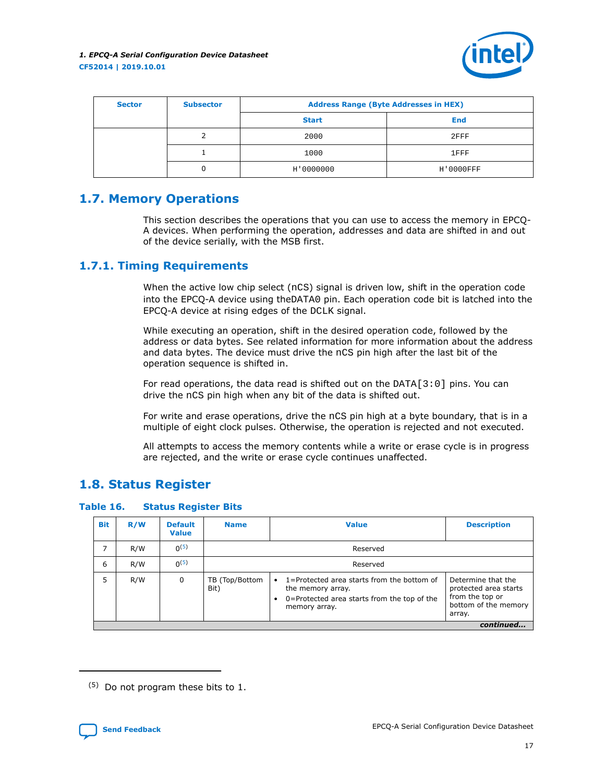

<span id="page-16-0"></span>

| <b>Sector</b> | <b>Subsector</b> | <b>Address Range (Byte Addresses in HEX)</b> |            |  |  |  |
|---------------|------------------|----------------------------------------------|------------|--|--|--|
|               |                  | <b>Start</b>                                 | <b>End</b> |  |  |  |
|               |                  | 2000                                         | $2$ $FFF$  |  |  |  |
|               |                  | 1000                                         | 1FFF       |  |  |  |
|               | 0                | H'0000000                                    | H'0000FFF  |  |  |  |

# **1.7. Memory Operations**

This section describes the operations that you can use to access the memory in EPCQ-A devices. When performing the operation, addresses and data are shifted in and out of the device serially, with the MSB first.

## **1.7.1. Timing Requirements**

When the active low chip select (nCS) signal is driven low, shift in the operation code into the EPCQ-A device using theDATA0 pin. Each operation code bit is latched into the EPCQ-A device at rising edges of the DCLK signal.

While executing an operation, shift in the desired operation code, followed by the address or data bytes. See related information for more information about the address and data bytes. The device must drive the nCS pin high after the last bit of the operation sequence is shifted in.

For read operations, the data read is shifted out on the  $DATA[3:0]$  pins. You can drive the nCS pin high when any bit of the data is shifted out.

For write and erase operations, drive the nCS pin high at a byte boundary, that is in a multiple of eight clock pulses. Otherwise, the operation is rejected and not executed.

All attempts to access the memory contents while a write or erase cycle is in progress are rejected, and the write or erase cycle continues unaffected.

# **1.8. Status Register**

**Table 16. Status Register Bits**

| <b>Bit</b> | R/W       | <b>Default</b><br><b>Value</b> | <b>Value</b><br><b>Name</b> |                                                                                                                                                   | <b>Description</b> |  |  |  |
|------------|-----------|--------------------------------|-----------------------------|---------------------------------------------------------------------------------------------------------------------------------------------------|--------------------|--|--|--|
| 7          | R/W       | $0^{(5)}$                      |                             | Reserved                                                                                                                                          |                    |  |  |  |
| 6          | R/W       | 0(5)                           | Reserved                    |                                                                                                                                                   |                    |  |  |  |
| 5          | R/W       | 0                              | TB (Top/Bottom<br>Bit)      | 1=Protected area starts from the bottom of<br>$\bullet$<br>the memory array.<br>0=Protected area starts from the top of the<br>٠<br>memory array. |                    |  |  |  |
|            | continued |                                |                             |                                                                                                                                                   |                    |  |  |  |

<sup>(5)</sup> Do not program these bits to 1.

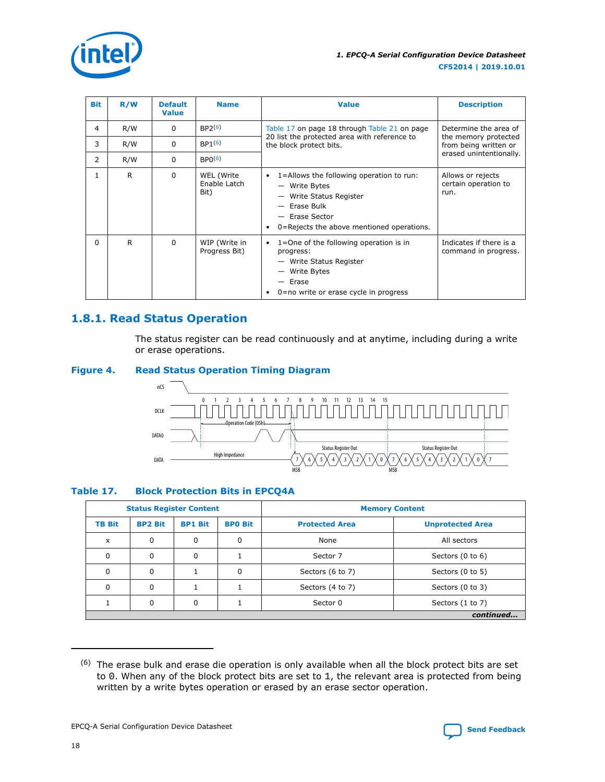<span id="page-17-0"></span>

| <b>Bit</b> | R/W | <b>Default</b><br><b>Value</b> | <b>Name</b>                        | <b>Value</b>                                                                                                                                                                            | <b>Description</b>                                |  |
|------------|-----|--------------------------------|------------------------------------|-----------------------------------------------------------------------------------------------------------------------------------------------------------------------------------------|---------------------------------------------------|--|
| 4          | R/W | 0                              | BP2 <sup>(6)</sup>                 | Table 17 on page 18 through Table 21 on page                                                                                                                                            | Determine the area of<br>the memory protected     |  |
| 3          | R/W | 0                              | BP1(6)                             | 20 list the protected area with reference to<br>the block protect bits.<br>from being written or                                                                                        |                                                   |  |
| 2          | R/W | 0                              | BPO <sup>(6)</sup>                 |                                                                                                                                                                                         | erased unintentionally.                           |  |
| 1          | R   | $\Omega$                       | WEL (Write<br>Enable Latch<br>Bit) | 1=Allows the following operation to run:<br>$\bullet$<br>- Write Bytes<br>- Write Status Register<br>$-$ Erase Bulk<br>- Erase Sector<br>0=Rejects the above mentioned operations.<br>٠ | Allows or rejects<br>certain operation to<br>run. |  |
| $\Omega$   | R   | $\Omega$                       | WIP (Write in<br>Progress Bit)     | 1=One of the following operation is in<br>$\bullet$<br>progress:<br>- Write Status Register<br>- Write Bytes<br>- Erase<br>$0$ = no write or erase cycle in progress<br>٠               | Indicates if there is a<br>command in progress.   |  |

# **1.8.1. Read Status Operation**

The status register can be read continuously and at anytime, including during a write or erase operations.

#### **Figure 4. Read Status Operation Timing Diagram**



#### **Table 17. Block Protection Bits in EPCQ4A**

| <b>Status Register Content</b> |                |                |                | <b>Memory Content</b> |                             |  |  |  |
|--------------------------------|----------------|----------------|----------------|-----------------------|-----------------------------|--|--|--|
| <b>TB Bit</b>                  | <b>BP2 Bit</b> | <b>BP1 Bit</b> | <b>BPO Bit</b> | <b>Protected Area</b> | <b>Unprotected Area</b>     |  |  |  |
| $\times$                       | 0              | 0              | 0              | None                  | All sectors                 |  |  |  |
|                                | 0              | 0              |                | Sector 7              | Sectors $(0 \text{ to } 6)$ |  |  |  |
|                                | 0              |                | 0              | Sectors (6 to 7)      | Sectors (0 to 5)            |  |  |  |
|                                | 0              |                |                | Sectors (4 to 7)      | Sectors (0 to 3)            |  |  |  |
|                                | 0              | 0              |                | Sector 0              | Sectors (1 to 7)            |  |  |  |
|                                | continued      |                |                |                       |                             |  |  |  |

 $(6)$  The erase bulk and erase die operation is only available when all the block protect bits are set to 0. When any of the block protect bits are set to 1, the relevant area is protected from being written by a write bytes operation or erased by an erase sector operation.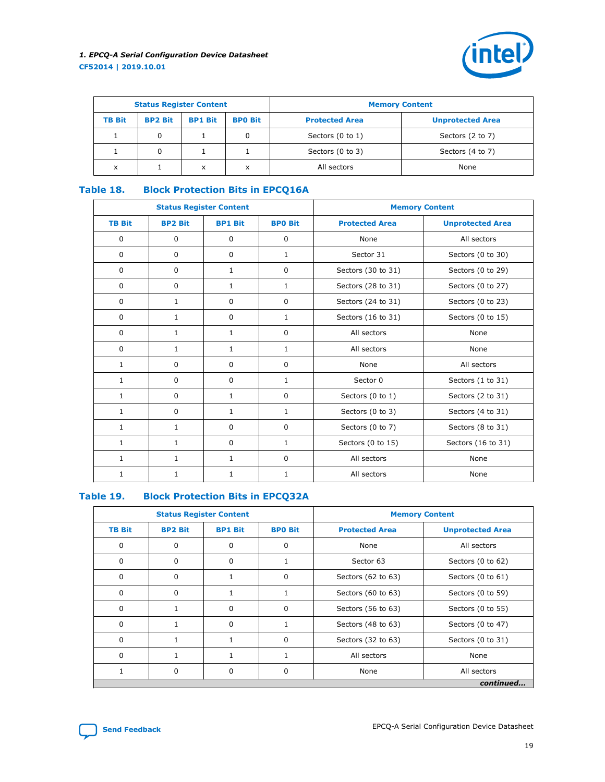

| <b>Status Register Content</b> |                |                |                | <b>Memory Content</b>       |                         |  |
|--------------------------------|----------------|----------------|----------------|-----------------------------|-------------------------|--|
| <b>TB Bit</b>                  | <b>BP2 Bit</b> | <b>BP1 Bit</b> | <b>BPO Bit</b> | <b>Protected Area</b>       | <b>Unprotected Area</b> |  |
|                                |                |                | 0              | Sectors $(0 \text{ to } 1)$ | Sectors (2 to 7)        |  |
|                                | 0              |                |                | Sectors (0 to 3)            | Sectors (4 to 7)        |  |
| x                              |                | x              | x              | All sectors                 | None                    |  |

#### **Table 18. Block Protection Bits in EPCQ16A**

|               | <b>Status Register Content</b> |                |                | <b>Memory Content</b> |                         |  |
|---------------|--------------------------------|----------------|----------------|-----------------------|-------------------------|--|
| <b>TB Bit</b> | <b>BP2 Bit</b>                 | <b>BP1 Bit</b> | <b>BPO Bit</b> | <b>Protected Area</b> | <b>Unprotected Area</b> |  |
| $\mathbf 0$   | $\mathbf 0$                    | $\Omega$       | $\mathbf 0$    | None                  | All sectors             |  |
| 0             | $\mathbf 0$                    | 0              | $\mathbf{1}$   | Sector 31             | Sectors (0 to 30)       |  |
| $\mathbf 0$   | $\mathbf 0$                    | $\mathbf{1}$   | $\mathbf 0$    | Sectors (30 to 31)    | Sectors (0 to 29)       |  |
| $\mathbf 0$   | $\mathbf 0$                    | $\mathbf{1}$   | 1              | Sectors (28 to 31)    | Sectors (0 to 27)       |  |
| $\mathbf 0$   | 1                              | $\mathbf 0$    | 0              | Sectors (24 to 31)    | Sectors (0 to 23)       |  |
| 0             | 1                              | $\mathbf 0$    | 1              | Sectors (16 to 31)    | Sectors (0 to 15)       |  |
| $\mathbf 0$   | 1                              | $\mathbf{1}$   | $\mathbf 0$    | All sectors           | None                    |  |
| $\mathbf 0$   | 1                              | 1              | 1              | All sectors           | None                    |  |
| 1             | $\mathbf 0$                    | $\mathbf 0$    | $\mathbf 0$    | None                  | All sectors             |  |
| 1             | $\mathbf 0$                    | $\mathbf 0$    | $\mathbf{1}$   | Sector 0              | Sectors (1 to 31)       |  |
| 1             | $\mathbf 0$                    | $\mathbf{1}$   | $\mathbf 0$    | Sectors (0 to 1)      | Sectors (2 to 31)       |  |
| 1             | $\Omega$                       | $\mathbf{1}$   | $\mathbf{1}$   | Sectors (0 to 3)      | Sectors (4 to 31)       |  |
| 1             | 1                              | 0              | $\mathbf 0$    | Sectors (0 to 7)      | Sectors (8 to 31)       |  |
| $\mathbf{1}$  | $\mathbf{1}$                   | 0              | $\mathbf{1}$   | Sectors (0 to 15)     | Sectors (16 to 31)      |  |
| $\mathbf{1}$  | $\mathbf{1}$                   | $\mathbf{1}$   | $\mathbf 0$    | All sectors           | None                    |  |
| 1             | $\mathbf{1}$                   | 1              | $\mathbf{1}$   | All sectors<br>None   |                         |  |

#### **Table 19. Block Protection Bits in EPCQ32A**

|               | <b>Status Register Content</b>   |   |                | <b>Memory Content</b>          |                         |  |  |  |  |
|---------------|----------------------------------|---|----------------|--------------------------------|-------------------------|--|--|--|--|
| <b>TB Bit</b> | <b>BP2 Bit</b><br><b>BP1 Bit</b> |   | <b>BPO Bit</b> | <b>Protected Area</b>          | <b>Unprotected Area</b> |  |  |  |  |
| 0             | 0                                | 0 | $\Omega$       | None                           | All sectors             |  |  |  |  |
| 0             | 0                                | 0 |                | Sector 63<br>Sectors (0 to 62) |                         |  |  |  |  |
| 0             | 0                                | 1 | $\Omega$       | Sectors (62 to 63)             | Sectors (0 to 61)       |  |  |  |  |
| 0             | 0                                |   |                | Sectors (60 to 63)             | Sectors (0 to 59)       |  |  |  |  |
| $\Omega$      | $\mathbf{1}$                     | 0 | $\Omega$       | Sectors (56 to 63)             | Sectors (0 to 55)       |  |  |  |  |
| $\Omega$      | 1                                | 0 |                | Sectors (48 to 63)             | Sectors (0 to 47)       |  |  |  |  |
| $\Omega$      | $\mathbf{1}$                     | 1 | $\Omega$       | Sectors (32 to 63)             | Sectors (0 to 31)       |  |  |  |  |
| $\Omega$      | $\mathbf{1}$                     |   |                | All sectors                    | None                    |  |  |  |  |
|               | 0                                | 0 | 0              | All sectors<br>None            |                         |  |  |  |  |
|               | continued                        |   |                |                                |                         |  |  |  |  |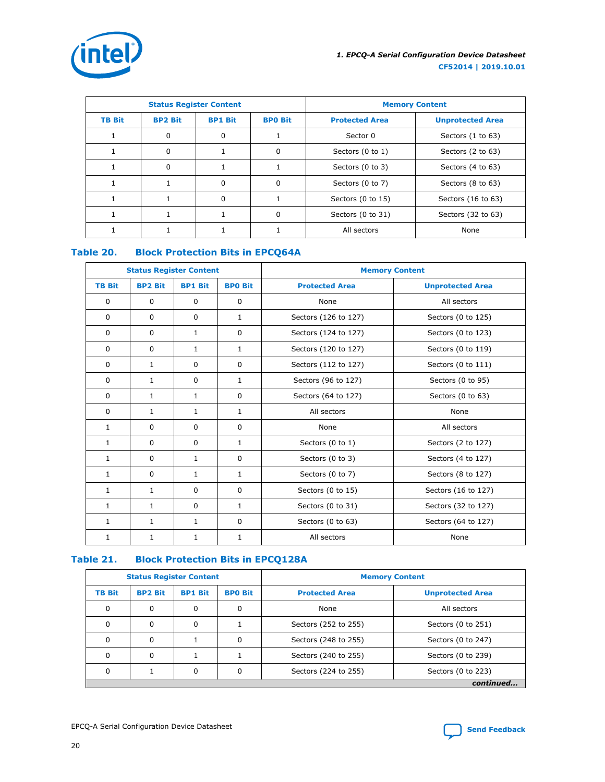<span id="page-19-0"></span>

|               | <b>Status Register Content</b>                     |   |                       | <b>Memory Content</b>                 |                    |  |
|---------------|----------------------------------------------------|---|-----------------------|---------------------------------------|--------------------|--|
| <b>TB Bit</b> | <b>BPO Bit</b><br><b>BP2 Bit</b><br><b>BP1 Bit</b> |   | <b>Protected Area</b> | <b>Unprotected Area</b>               |                    |  |
|               | 0                                                  | 0 |                       | Sectors $(1 to 63)$<br>Sector 0       |                    |  |
|               | 0                                                  |   | $\Omega$              | Sectors (0 to 1)<br>Sectors (2 to 63) |                    |  |
|               | 0                                                  |   |                       | Sectors (0 to 3)                      | Sectors (4 to 63)  |  |
|               | 1                                                  | 0 | $\Omega$              | Sectors (0 to 7)                      | Sectors (8 to 63)  |  |
|               |                                                    | 0 |                       | Sectors (0 to 15)                     | Sectors (16 to 63) |  |
|               |                                                    |   | $\Omega$              | Sectors (0 to 31)                     | Sectors (32 to 63) |  |
|               |                                                    |   |                       | All sectors<br>None                   |                    |  |

# **Table 20. Block Protection Bits in EPCQ64A**

|               | <b>Status Register Content</b> |                |                | <b>Memory Content</b> |                         |  |
|---------------|--------------------------------|----------------|----------------|-----------------------|-------------------------|--|
| <b>TB Bit</b> | <b>BP2 Bit</b>                 | <b>BP1 Bit</b> | <b>BPO Bit</b> | <b>Protected Area</b> | <b>Unprotected Area</b> |  |
| $\Omega$      | $\Omega$                       | $\Omega$       | $\Omega$       | None                  | All sectors             |  |
| $\Omega$      | $\Omega$                       | $\Omega$       | 1              | Sectors (126 to 127)  | Sectors (0 to 125)      |  |
| $\Omega$      | $\Omega$                       | $\mathbf{1}$   | $\Omega$       | Sectors (124 to 127)  | Sectors (0 to 123)      |  |
| $\Omega$      | $\Omega$                       | $\mathbf{1}$   | $\mathbf{1}$   | Sectors (120 to 127)  | Sectors (0 to 119)      |  |
| $\Omega$      | $\mathbf{1}$                   | $\Omega$       | $\mathbf 0$    | Sectors (112 to 127)  | Sectors (0 to 111)      |  |
| $\Omega$      | $\mathbf{1}$                   | $\mathbf{0}$   | 1              | Sectors (96 to 127)   | Sectors (0 to 95)       |  |
| 0             | 1                              | 1              | 0              | Sectors (64 to 127)   | Sectors (0 to 63)       |  |
| $\mathbf 0$   | $\mathbf{1}$                   | $\mathbf{1}$   | $\mathbf{1}$   | All sectors           | None                    |  |
| $\mathbf{1}$  | $\Omega$                       | $\mathbf 0$    | $\mathbf 0$    | None                  | All sectors             |  |
| $\mathbf{1}$  | $\Omega$                       | $\Omega$       | $\mathbf{1}$   | Sectors (0 to 1)      | Sectors (2 to 127)      |  |
| $\mathbf{1}$  | $\Omega$                       | $\mathbf{1}$   | $\mathbf 0$    | Sectors (0 to 3)      | Sectors (4 to 127)      |  |
| 1             | $\Omega$                       | $\mathbf{1}$   | 1              | Sectors (0 to 7)      | Sectors (8 to 127)      |  |
| $\mathbf{1}$  | $\mathbf{1}$                   | $\mathbf{0}$   | 0              | Sectors (0 to 15)     | Sectors (16 to 127)     |  |
| $\mathbf{1}$  | $\mathbf{1}$                   | $\Omega$       | $\mathbf{1}$   | Sectors (0 to 31)     | Sectors (32 to 127)     |  |
| $\mathbf{1}$  | $\mathbf{1}$                   | $\mathbf{1}$   | 0              | Sectors (0 to 63)     | Sectors (64 to 127)     |  |
| $\mathbf{1}$  | $\mathbf{1}$                   | $\mathbf{1}$   | $\mathbf{1}$   | All sectors<br>None   |                         |  |

#### **Table 21. Block Protection Bits in EPCQ128A**

| <b>Status Register Content</b> |                |                |                | <b>Memory Content</b> |                         |  |  |  |
|--------------------------------|----------------|----------------|----------------|-----------------------|-------------------------|--|--|--|
| <b>TB Bit</b>                  | <b>BP2 Bit</b> | <b>BP1 Bit</b> | <b>BPO Bit</b> | <b>Protected Area</b> | <b>Unprotected Area</b> |  |  |  |
| 0                              | 0              | 0              | 0              | None                  | All sectors             |  |  |  |
| 0                              | 0              | $\Omega$       |                | Sectors (252 to 255)  | Sectors (0 to 251)      |  |  |  |
| 0                              | 0              |                | 0              | Sectors (248 to 255)  | Sectors (0 to 247)      |  |  |  |
|                                | 0              |                |                | Sectors (240 to 255)  | Sectors (0 to 239)      |  |  |  |
| 0                              |                | 0              | 0              | Sectors (224 to 255)  | Sectors (0 to 223)      |  |  |  |
|                                | continued      |                |                |                       |                         |  |  |  |

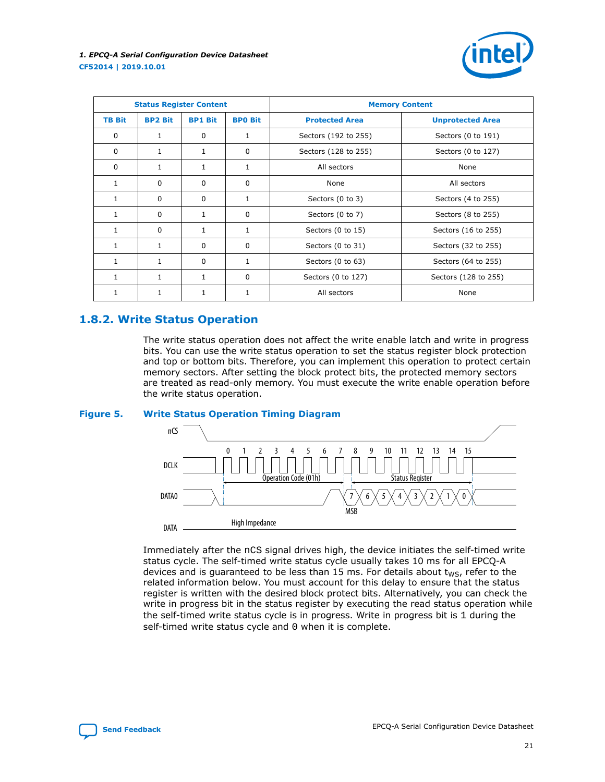

<span id="page-20-0"></span>

| <b>Status Register Content</b> |                |                |                | <b>Memory Content</b> |                         |  |
|--------------------------------|----------------|----------------|----------------|-----------------------|-------------------------|--|
| <b>TB Bit</b>                  | <b>BP2 Bit</b> | <b>BP1 Bit</b> | <b>BPO Bit</b> | <b>Protected Area</b> | <b>Unprotected Area</b> |  |
| $\Omega$                       | $\mathbf{1}$   | $\Omega$       | 1              | Sectors (192 to 255)  | Sectors (0 to 191)      |  |
| $\Omega$                       | 1              | $\mathbf{1}$   | 0              | Sectors (128 to 255)  | Sectors (0 to 127)      |  |
| $\Omega$                       | 1              | 1              | 1              | All sectors           | None                    |  |
| $\mathbf{1}$                   | 0              | $\Omega$       | $\Omega$       | None                  | All sectors             |  |
| $\mathbf{1}$                   | 0              | $\Omega$       | 1              | Sectors (0 to 3)      | Sectors (4 to 255)      |  |
| 1                              | $\Omega$       | $\mathbf{1}$   | $\Omega$       | Sectors (0 to 7)      | Sectors (8 to 255)      |  |
| 1                              | $\Omega$       | $\mathbf{1}$   | 1              | Sectors (0 to 15)     | Sectors (16 to 255)     |  |
| 1                              | $\mathbf{1}$   | $\Omega$       | $\Omega$       | Sectors (0 to 31)     | Sectors (32 to 255)     |  |
|                                | $\mathbf{1}$   | $\Omega$       |                | Sectors (0 to 63)     | Sectors (64 to 255)     |  |
|                                | $\mathbf{1}$   | $\mathbf{1}$   | 0              | Sectors (0 to 127)    | Sectors (128 to 255)    |  |
|                                | 1              | $\mathbf{1}$   |                | All sectors<br>None   |                         |  |

#### **1.8.2. Write Status Operation**

The write status operation does not affect the write enable latch and write in progress bits. You can use the write status operation to set the status register block protection and top or bottom bits. Therefore, you can implement this operation to protect certain memory sectors. After setting the block protect bits, the protected memory sectors are treated as read-only memory. You must execute the write enable operation before the write status operation.

#### **Figure 5. Write Status Operation Timing Diagram**



Immediately after the nCS signal drives high, the device initiates the self-timed write status cycle. The self-timed write status cycle usually takes 10 ms for all EPCQ-A devices and is guaranteed to be less than 15 ms. For details about  $t_{WS}$ , refer to the related information below. You must account for this delay to ensure that the status register is written with the desired block protect bits. Alternatively, you can check the write in progress bit in the status register by executing the read status operation while the self-timed write status cycle is in progress. Write in progress bit is 1 during the self-timed write status cycle and 0 when it is complete.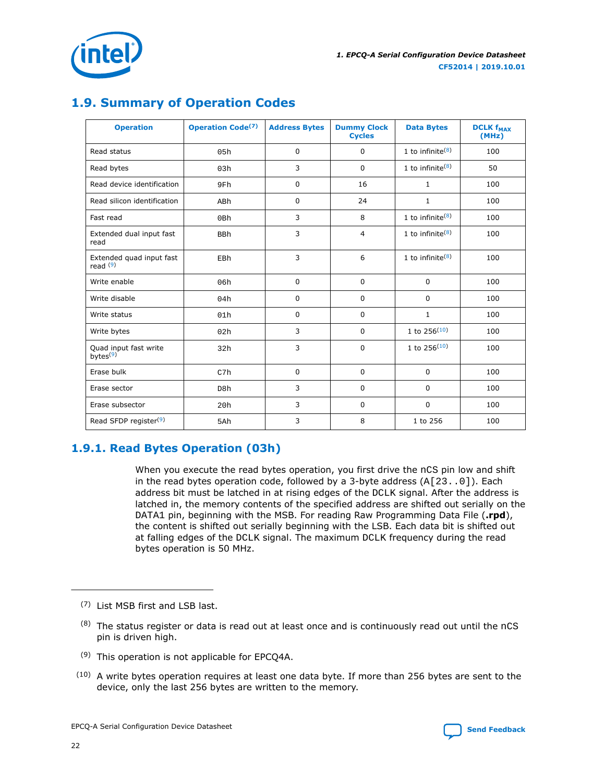

<span id="page-21-0"></span>

# **1.9. Summary of Operation Codes**

| <b>Operation</b>                              | <b>Operation Code<sup>(7)</sup></b> | <b>Address Bytes</b> | <b>Dummy Clock</b><br><b>Cycles</b> | <b>Data Bytes</b>            | <b>DCLK f<sub>MAX</sub></b><br>(MHz) |
|-----------------------------------------------|-------------------------------------|----------------------|-------------------------------------|------------------------------|--------------------------------------|
| Read status                                   | 05h                                 | 0                    | $\mathbf 0$                         | 1 to infinite $(8)$          | 100                                  |
| Read bytes                                    | 03h                                 | 3                    | $\mathbf 0$                         | 1 to infinite $(8)$          | 50                                   |
| Read device identification                    | 9Fh                                 | 0                    | 16                                  | $\mathbf{1}$                 | 100                                  |
| Read silicon identification                   | ABh                                 | $\Omega$             | 24                                  | 1                            | 100                                  |
| Fast read                                     | 0Bh                                 | 3                    | 8                                   | 1 to infinite $(8)$          | 100                                  |
| Extended dual input fast<br>read              | <b>BBh</b>                          | 3                    | $\overline{4}$                      | 1 to infinite $(8)$          | 100                                  |
| Extended quad input fast<br>read $(9)$        | EBh                                 | 3                    | 6                                   | 1 to infinite <sup>(8)</sup> | 100                                  |
| Write enable                                  | 06h                                 | 0                    | $\mathbf 0$                         | $\mathbf 0$                  | 100                                  |
| Write disable                                 | 04h                                 | 0                    | $\mathbf 0$                         | 0                            | 100                                  |
| Write status                                  | 01h                                 | 0                    | $\mathbf 0$                         | 1                            | 100                                  |
| Write bytes                                   | 02h                                 | 3                    | $\mathbf 0$                         | 1 to $256^{(10)}$            | 100                                  |
| Quad input fast write<br>bytes <sup>(9)</sup> | 32h                                 | 3                    | $\mathbf 0$                         | 1 to $256^{(10)}$            | 100                                  |
| Erase bulk                                    | C7h                                 | 0                    | $\mathbf 0$                         | $\mathbf 0$                  | 100                                  |
| Erase sector                                  | D8h                                 | 3                    | $\mathbf 0$                         | $\mathbf 0$                  | 100                                  |
| Erase subsector                               | 20h                                 | 3                    | $\mathbf 0$                         | $\mathbf 0$                  | 100                                  |
| Read SFDP register <sup>(9)</sup>             | 5Ah                                 | 3                    | 8                                   | 1 to 256                     | 100                                  |

# **1.9.1. Read Bytes Operation (03h)**

When you execute the read bytes operation, you first drive the nCS pin low and shift in the read bytes operation code, followed by a 3-byte address (A[23..0]). Each address bit must be latched in at rising edges of the DCLK signal. After the address is latched in, the memory contents of the specified address are shifted out serially on the DATA1 pin, beginning with the MSB. For reading Raw Programming Data File (**.rpd**), the content is shifted out serially beginning with the LSB. Each data bit is shifted out at falling edges of the DCLK signal. The maximum DCLK frequency during the read bytes operation is 50 MHz.

- (7) List MSB first and LSB last.
- $(8)$  The status register or data is read out at least once and is continuously read out until the nCS pin is driven high.
- $(9)$  This operation is not applicable for EPCQ4A.
- (10) A write bytes operation requires at least one data byte. If more than 256 bytes are sent to the device, only the last 256 bytes are written to the memory.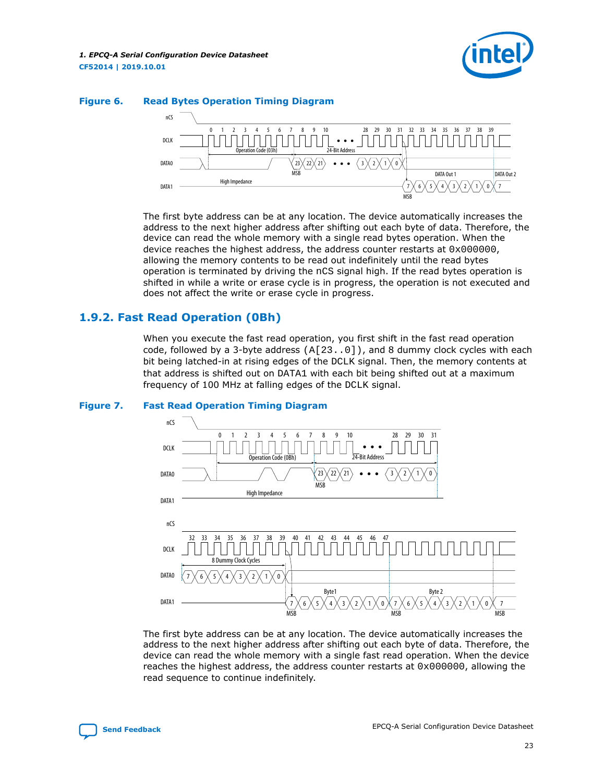

<span id="page-22-0"></span>

The first byte address can be at any location. The device automatically increases the address to the next higher address after shifting out each byte of data. Therefore, the device can read the whole memory with a single read bytes operation. When the device reaches the highest address, the address counter restarts at  $0 \times 000000$ , allowing the memory contents to be read out indefinitely until the read bytes operation is terminated by driving the nCS signal high. If the read bytes operation is shifted in while a write or erase cycle is in progress, the operation is not executed and does not affect the write or erase cycle in progress.

### **1.9.2. Fast Read Operation (0Bh)**

When you execute the fast read operation, you first shift in the fast read operation code, followed by a 3-byte address  $(A[23..0])$ , and 8 dummy clock cycles with each bit being latched-in at rising edges of the DCLK signal. Then, the memory contents at that address is shifted out on DATA1 with each bit being shifted out at a maximum frequency of 100 MHz at falling edges of the DCLK signal.





The first byte address can be at any location. The device automatically increases the address to the next higher address after shifting out each byte of data. Therefore, the device can read the whole memory with a single fast read operation. When the device reaches the highest address, the address counter restarts at  $0x000000$ , allowing the read sequence to continue indefinitely.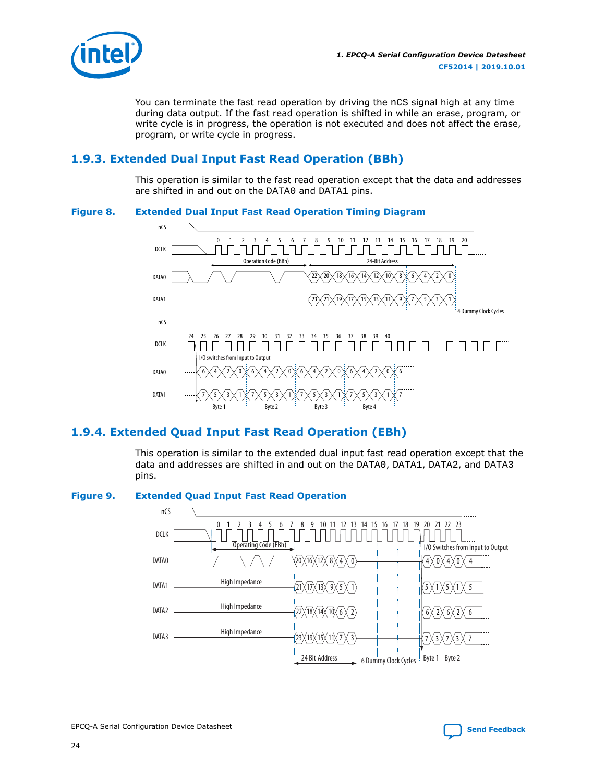<span id="page-23-0"></span>

You can terminate the fast read operation by driving the nCS signal high at any time during data output. If the fast read operation is shifted in while an erase, program, or write cycle is in progress, the operation is not executed and does not affect the erase, program, or write cycle in progress.

# **1.9.3. Extended Dual Input Fast Read Operation (BBh)**

This operation is similar to the fast read operation except that the data and addresses are shifted in and out on the DATA0 and DATA1 pins.

#### **Figure 8. Extended Dual Input Fast Read Operation Timing Diagram**



# **1.9.4. Extended Quad Input Fast Read Operation (EBh)**

This operation is similar to the extended dual input fast read operation except that the data and addresses are shifted in and out on the DATA0, DATA1, DATA2, and DATA3 pins.



#### **Figure 9. Extended Quad Input Fast Read Operation**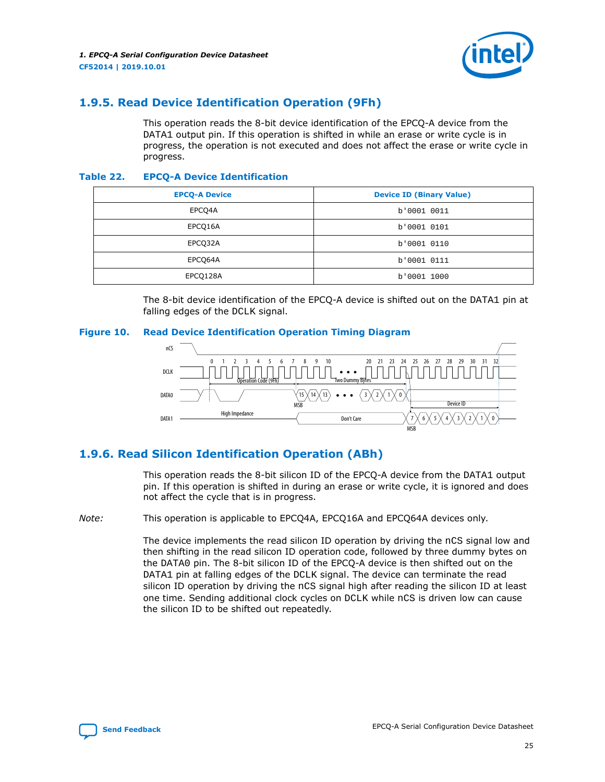

# <span id="page-24-0"></span>**1.9.5. Read Device Identification Operation (9Fh)**

This operation reads the 8-bit device identification of the EPCQ-A device from the DATA1 output pin. If this operation is shifted in while an erase or write cycle is in progress, the operation is not executed and does not affect the erase or write cycle in progress.

#### **Table 22. EPCQ-A Device Identification**

| <b>EPCQ-A Device</b> | <b>Device ID (Binary Value)</b> |
|----------------------|---------------------------------|
| EPCQ4A               | b'0001 0011                     |
| EPCO16A              | b'0001 0101                     |
| EPCO32A              | b'0001 0110                     |
| EPCO64A              | b'0001 0111                     |
| EPCQ128A             | b'0001 1000                     |

The 8-bit device identification of the EPCQ-A device is shifted out on the DATA1 pin at falling edges of the DCLK signal.

#### **Figure 10. Read Device Identification Operation Timing Diagram**



# **1.9.6. Read Silicon Identification Operation (ABh)**

This operation reads the 8-bit silicon ID of the EPCQ-A device from the DATA1 output pin. If this operation is shifted in during an erase or write cycle, it is ignored and does not affect the cycle that is in progress.

*Note:* This operation is applicable to EPCQ4A, EPCQ16A and EPCQ64A devices only.

The device implements the read silicon ID operation by driving the  $nCS$  signal low and then shifting in the read silicon ID operation code, followed by three dummy bytes on the DATA0 pin. The 8-bit silicon ID of the EPCQ-A device is then shifted out on the DATA1 pin at falling edges of the DCLK signal. The device can terminate the read silicon ID operation by driving the nCS signal high after reading the silicon ID at least one time. Sending additional clock cycles on DCLK while nCS is driven low can cause the silicon ID to be shifted out repeatedly.

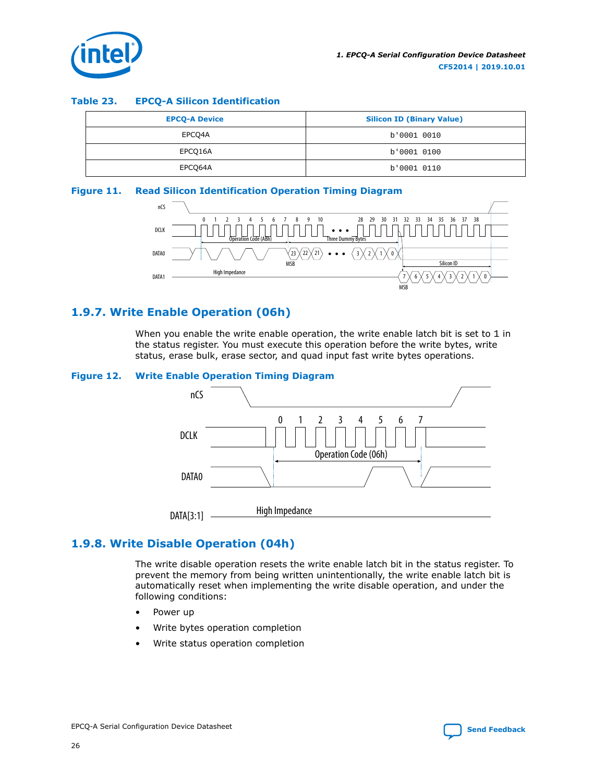<span id="page-25-0"></span>

#### **Table 23. EPCQ-A Silicon Identification**

| <b>EPCQ-A Device</b> | <b>Silicon ID (Binary Value)</b> |
|----------------------|----------------------------------|
| EPCQ4A               | b'0001 0010                      |
| EPCO16A              | b'0001 0100                      |
| EPCO64A              | b'0001 0110                      |

#### **Figure 11. Read Silicon Identification Operation Timing Diagram**



## **1.9.7. Write Enable Operation (06h)**

When you enable the write enable operation, the write enable latch bit is set to  $1$  in the status register. You must execute this operation before the write bytes, write status, erase bulk, erase sector, and quad input fast write bytes operations.

#### **Figure 12. Write Enable Operation Timing Diagram**



# **1.9.8. Write Disable Operation (04h)**

The write disable operation resets the write enable latch bit in the status register. To prevent the memory from being written unintentionally, the write enable latch bit is automatically reset when implementing the write disable operation, and under the following conditions:

- Power up
- Write bytes operation completion
- Write status operation completion

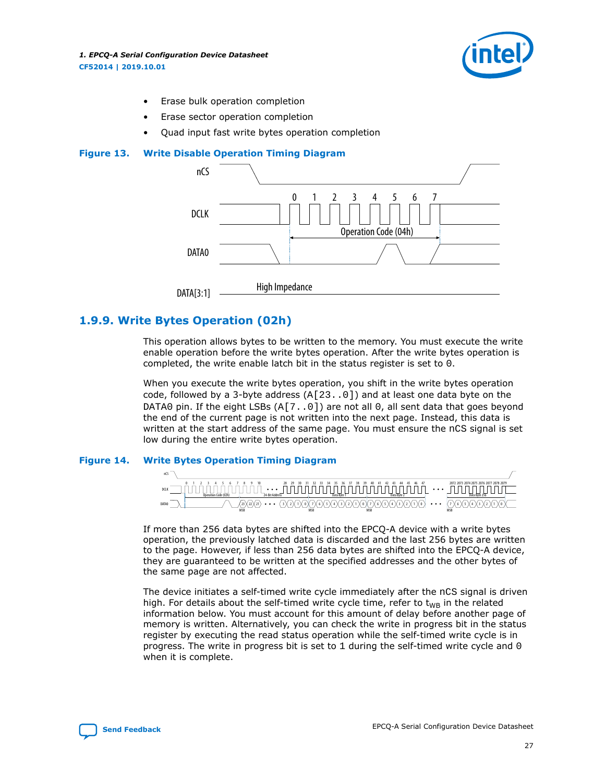

- Erase bulk operation completion
- Erase sector operation completion
- Quad input fast write bytes operation completion

<span id="page-26-0"></span>



#### **1.9.9. Write Bytes Operation (02h)**

This operation allows bytes to be written to the memory. You must execute the write enable operation before the write bytes operation. After the write bytes operation is completed, the write enable latch bit in the status register is set to 0.

When you execute the write bytes operation, you shift in the write bytes operation code, followed by a 3-byte address  $(A[23..0])$  and at least one data byte on the DATA0 pin. If the eight LSBs  $(A[7, .0])$  are not all 0, all sent data that goes beyond the end of the current page is not written into the next page. Instead, this data is written at the start address of the same page. You must ensure the nCS signal is set low during the entire write bytes operation.

#### **Figure 14. Write Bytes Operation Timing Diagram**



If more than 256 data bytes are shifted into the EPCQ-A device with a write bytes operation, the previously latched data is discarded and the last 256 bytes are written to the page. However, if less than 256 data bytes are shifted into the EPCQ-A device, they are guaranteed to be written at the specified addresses and the other bytes of the same page are not affected.

The device initiates a self-timed write cycle immediately after the nCS signal is driven high. For details about the self-timed write cycle time, refer to  $t_{WB}$  in the related information below. You must account for this amount of delay before another page of memory is written. Alternatively, you can check the write in progress bit in the status register by executing the read status operation while the self-timed write cycle is in progress. The write in progress bit is set to 1 during the self-timed write cycle and 0 when it is complete.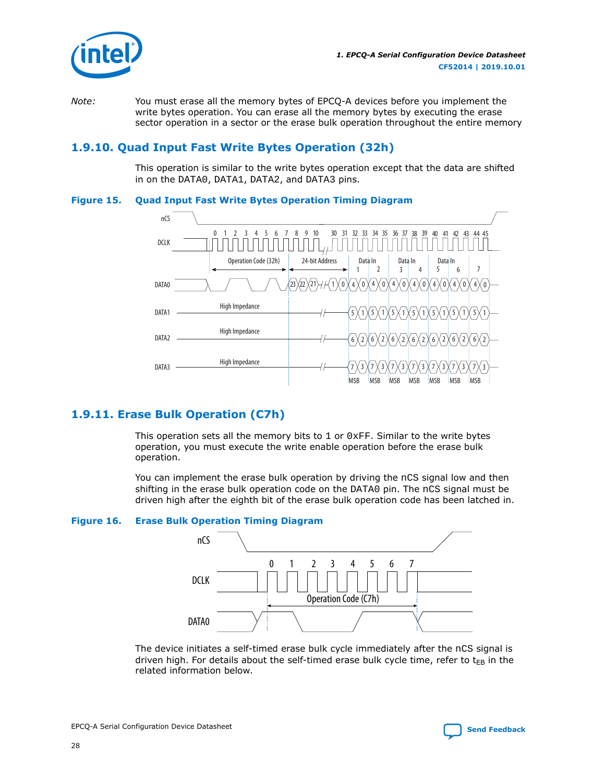<span id="page-27-0"></span>

*Note:* You must erase all the memory bytes of EPCQ-A devices before you implement the write bytes operation. You can erase all the memory bytes by executing the erase sector operation in a sector or the erase bulk operation throughout the entire memory

# **1.9.10. Quad Input Fast Write Bytes Operation (32h)**

This operation is similar to the write bytes operation except that the data are shifted in on the DATA0, DATA1, DATA2, and DATA3 pins.

#### **Figure 15. Quad Input Fast Write Bytes Operation Timing Diagram**



# **1.9.11. Erase Bulk Operation (C7h)**

This operation sets all the memory bits to  $1$  or  $0xFF$ . Similar to the write bytes operation, you must execute the write enable operation before the erase bulk operation.

You can implement the erase bulk operation by driving the nCS signal low and then shifting in the erase bulk operation code on the DATA0 pin. The nCS signal must be driven high after the eighth bit of the erase bulk operation code has been latched in.

#### **Figure 16. Erase Bulk Operation Timing Diagram**



The device initiates a self-timed erase bulk cycle immediately after the nCS signal is driven high. For details about the self-timed erase bulk cycle time, refer to  $t_{EB}$  in the related information below.

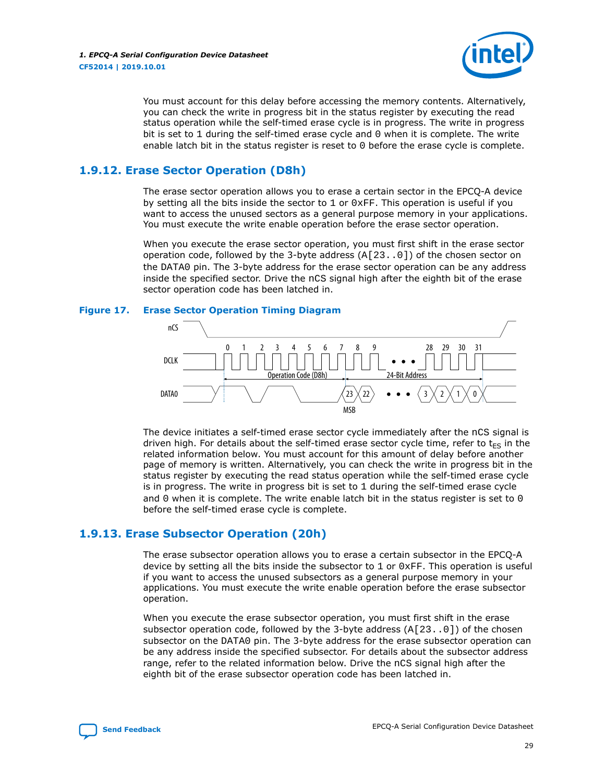

<span id="page-28-0"></span>You must account for this delay before accessing the memory contents. Alternatively, you can check the write in progress bit in the status register by executing the read status operation while the self-timed erase cycle is in progress. The write in progress bit is set to  $1$  during the self-timed erase cycle and  $0$  when it is complete. The write enable latch bit in the status register is reset to 0 before the erase cycle is complete.

## **1.9.12. Erase Sector Operation (D8h)**

The erase sector operation allows you to erase a certain sector in the EPCQ-A device by setting all the bits inside the sector to 1 or  $0xFF$ . This operation is useful if you want to access the unused sectors as a general purpose memory in your applications. You must execute the write enable operation before the erase sector operation.

When you execute the erase sector operation, you must first shift in the erase sector operation code, followed by the 3-byte address  $(A[23..0])$  of the chosen sector on the DATA0 pin. The 3-byte address for the erase sector operation can be any address inside the specified sector. Drive the nCS signal high after the eighth bit of the erase sector operation code has been latched in.

#### **Figure 17. Erase Sector Operation Timing Diagram**



The device initiates a self-timed erase sector cycle immediately after the nCS signal is driven high. For details about the self-timed erase sector cycle time, refer to  $t_{ES}$  in the related information below. You must account for this amount of delay before another page of memory is written. Alternatively, you can check the write in progress bit in the status register by executing the read status operation while the self-timed erase cycle is in progress. The write in progress bit is set to 1 during the self-timed erase cycle and 0 when it is complete. The write enable latch bit in the status register is set to  $0$ before the self-timed erase cycle is complete.

#### **1.9.13. Erase Subsector Operation (20h)**

The erase subsector operation allows you to erase a certain subsector in the EPCQ-A device by setting all the bits inside the subsector to  $1$  or  $0 \times FF$ . This operation is useful if you want to access the unused subsectors as a general purpose memory in your applications. You must execute the write enable operation before the erase subsector operation.

When you execute the erase subsector operation, you must first shift in the erase subsector operation code, followed by the 3-byte address  $(A[23..0])$  of the chosen subsector on the DATA0 pin. The 3-byte address for the erase subsector operation can be any address inside the specified subsector. For details about the subsector address range, refer to the related information below. Drive the nCS signal high after the eighth bit of the erase subsector operation code has been latched in.

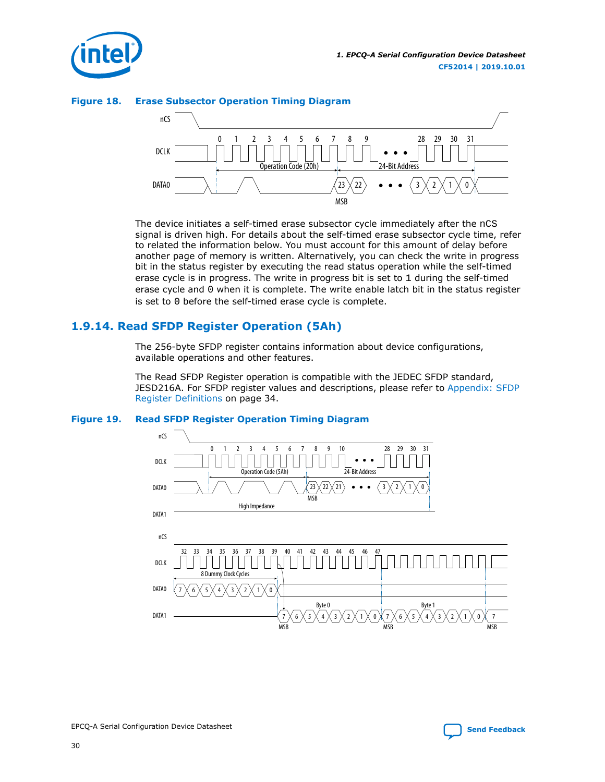<span id="page-29-0"></span>





The device initiates a self-timed erase subsector cycle immediately after the nCS signal is driven high. For details about the self-timed erase subsector cycle time, refer to related the information below. You must account for this amount of delay before another page of memory is written. Alternatively, you can check the write in progress bit in the status register by executing the read status operation while the self-timed erase cycle is in progress. The write in progress bit is set to 1 during the self-timed erase cycle and 0 when it is complete. The write enable latch bit in the status register is set to 0 before the self-timed erase cycle is complete.

# **1.9.14. Read SFDP Register Operation (5Ah)**

The 256-byte SFDP register contains information about device configurations, available operations and other features.

The Read SFDP Register operation is compatible with the JEDEC SFDP standard, JESD216A. For SFDP register values and descriptions, please refer to [Appendix: SFDP](#page-33-0) [Register Definitions](#page-33-0) on page 34.

#### **Figure 19. Read SFDP Register Operation Timing Diagram**



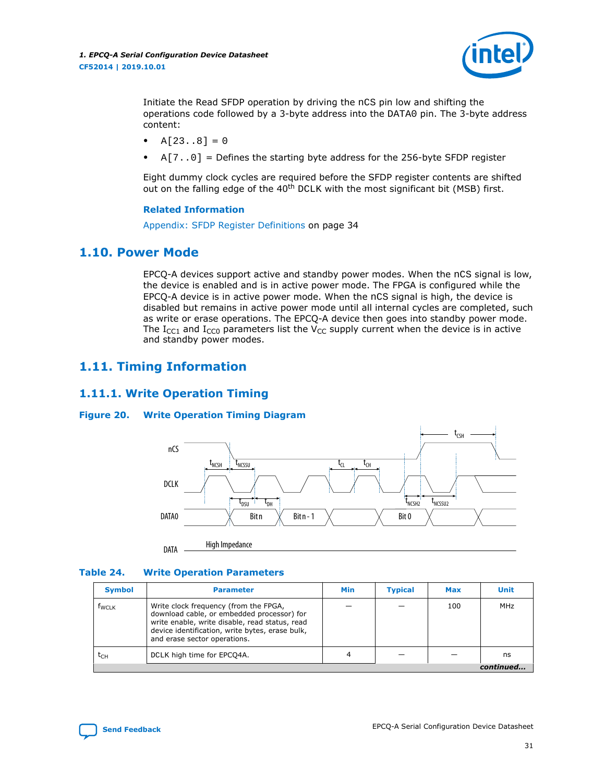

<span id="page-30-0"></span>Initiate the Read SFDP operation by driving the nCS pin low and shifting the operations code followed by a 3-byte address into the DATA0 pin. The 3-byte address content:

- $A[23..8] = 0$
- $A[7..0]$  = Defines the starting byte address for the 256-byte SFDP register

Eight dummy clock cycles are required before the SFDP register contents are shifted out on the falling edge of the  $40<sup>th</sup>$  DCLK with the most significant bit (MSB) first.

#### **Related Information**

[Appendix: SFDP Register Definitions](#page-33-0) on page 34

#### **1.10. Power Mode**

EPCQ-A devices support active and standby power modes. When the  $nCS$  signal is low, the device is enabled and is in active power mode. The FPGA is configured while the EPCQ-A device is in active power mode. When the nCS signal is high, the device is disabled but remains in active power mode until all internal cycles are completed, such as write or erase operations. The EPCQ-A device then goes into standby power mode. The I<sub>CC1</sub> and I<sub>CC0</sub> parameters list the V<sub>CC</sub> supply current when the device is in active and standby power modes.

# **1.11. Timing Information**

#### **1.11.1. Write Operation Timing**

#### **Figure 20. Write Operation Timing Diagram**



#### **Table 24. Write Operation Parameters**

| <b>Symbol</b> | <b>Parameter</b>                                                                                                                                                                                                         | <b>Min</b> | <b>Typical</b> | Max | <b>Unit</b> |
|---------------|--------------------------------------------------------------------------------------------------------------------------------------------------------------------------------------------------------------------------|------------|----------------|-----|-------------|
| <b>f</b> wcLk | Write clock frequency (from the FPGA,<br>download cable, or embedded processor) for<br>write enable, write disable, read status, read<br>device identification, write bytes, erase bulk,<br>and erase sector operations. |            |                | 100 | MHz         |
| $t_{CH}$      | DCLK high time for EPCQ4A.                                                                                                                                                                                               |            |                |     | ns          |
|               |                                                                                                                                                                                                                          |            |                |     | continued   |

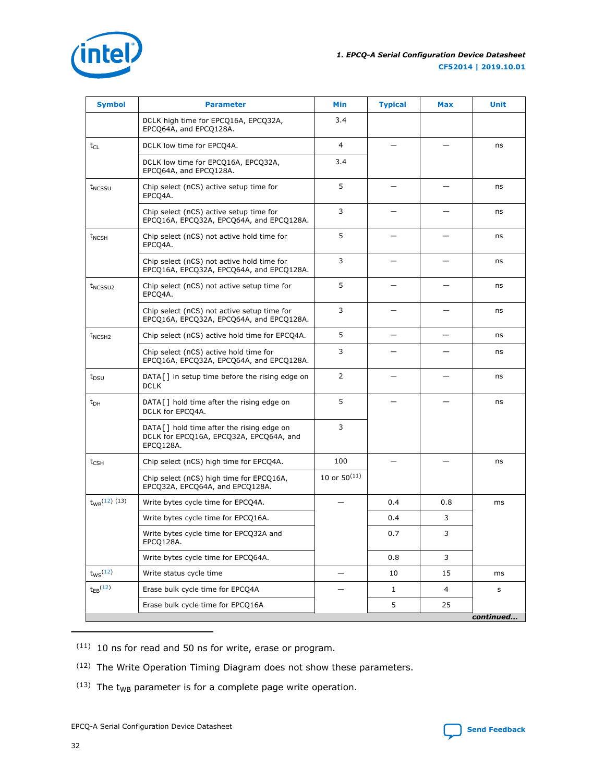<span id="page-31-0"></span>

| <b>Symbol</b>       | <b>Parameter</b>                                                                                  | <b>Min</b>        | <b>Typical</b> | <b>Max</b>     | <b>Unit</b> |
|---------------------|---------------------------------------------------------------------------------------------------|-------------------|----------------|----------------|-------------|
|                     | DCLK high time for EPCQ16A, EPCQ32A,<br>EPCQ64A, and EPCQ128A.                                    | 3.4               |                |                |             |
| $t_{CL}$            | DCLK low time for EPCQ4A.                                                                         | 4                 |                |                | ns          |
|                     | DCLK low time for EPCQ16A, EPCQ32A,<br>EPCQ64A, and EPCQ128A.                                     |                   |                |                |             |
| t <sub>NCSSU</sub>  | Chip select (nCS) active setup time for<br>EPCQ4A.                                                | 5                 |                |                | ns          |
|                     | Chip select (nCS) active setup time for<br>EPCQ16A, EPCQ32A, EPCQ64A, and EPCQ128A.               | 3                 |                |                | ns          |
| $t_{NCSH}$          | Chip select (nCS) not active hold time for<br>EPCQ4A.                                             | 5                 |                |                | ns          |
|                     | Chip select (nCS) not active hold time for<br>EPCQ16A, EPCQ32A, EPCQ64A, and EPCQ128A.            | 3                 |                |                | ns          |
| t <sub>NCSSU2</sub> | Chip select (nCS) not active setup time for<br>EPCQ4A.                                            | 5                 |                |                | ns          |
|                     | Chip select (nCS) not active setup time for<br>EPCQ16A, EPCQ32A, EPCQ64A, and EPCQ128A.           | 3                 |                |                | ns          |
| t <sub>NCSH2</sub>  | Chip select (nCS) active hold time for EPCQ4A.                                                    | 5                 |                |                | ns          |
|                     | Chip select (nCS) active hold time for<br>EPCQ16A, EPCQ32A, EPCQ64A, and EPCQ128A.                |                   |                |                | ns          |
| $t_{DSU}$           | DATA[] in setup time before the rising edge on<br><b>DCLK</b>                                     | 2                 |                |                | ns          |
| $t_{DH}$            | DATA[] hold time after the rising edge on<br>DCLK for EPCQ4A.                                     | 5                 |                |                | ns          |
|                     | DATA[] hold time after the rising edge on<br>DCLK for EPCQ16A, EPCQ32A, EPCQ64A, and<br>EPCQ128A. | 3                 |                |                |             |
| $t_{\text{CSH}}$    | Chip select (nCS) high time for EPCQ4A.                                                           | 100               |                |                | ns          |
|                     | Chip select (nCS) high time for EPCQ16A,<br>EPCQ32A, EPCQ64A, and EPCQ128A.                       | 10 or $50^{(11)}$ |                |                |             |
| $t_{WB}$ (12) (13)  | Write bytes cycle time for EPCQ4A.                                                                |                   | 0.4            | 0.8            | ms          |
|                     | Write bytes cycle time for EPCQ16A.                                                               |                   | 0.4            | 3              |             |
|                     | Write bytes cycle time for EPCQ32A and<br>EPCQ128A.                                               |                   | 0.7            | 3              |             |
|                     | Write bytes cycle time for EPCQ64A.                                                               |                   | 0.8            | 3              |             |
| $t_{WS}$ $(12)$     | Write status cycle time                                                                           | —                 | 10             | 15             | ms          |
| $t_{EB}$ $(12)$     | Erase bulk cycle time for EPCQ4A                                                                  |                   | $\mathbf{1}$   | $\overline{4}$ | s           |
|                     | Erase bulk cycle time for EPCQ16A                                                                 |                   | 5              | 25             |             |
|                     |                                                                                                   |                   |                |                | continued   |

 $(11)$  10 ns for read and 50 ns for write, erase or program.

- (12) The Write Operation Timing Diagram does not show these parameters.
- $(13)$  The t<sub>WB</sub> parameter is for a complete page write operation.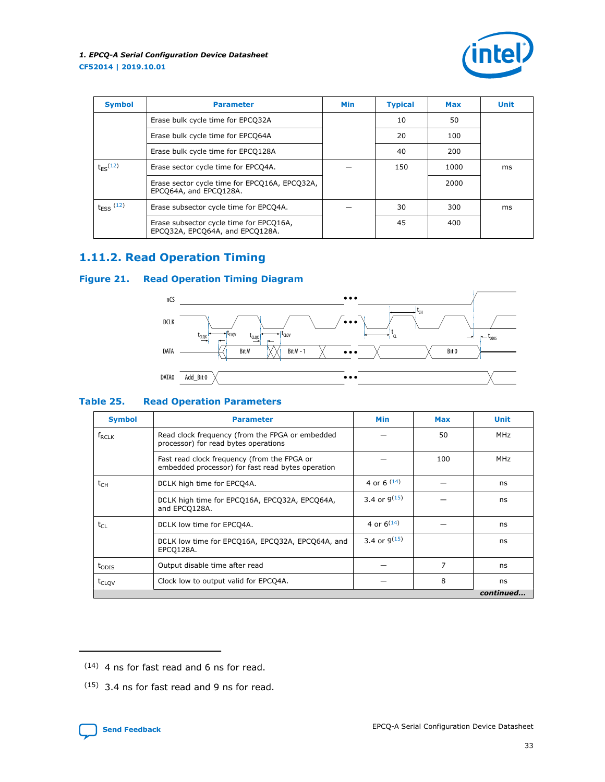

<span id="page-32-0"></span>

| <b>Symbol</b>  | <b>Parameter</b>                                                           | <b>Min</b> | <b>Typical</b> | Max  | Unit |
|----------------|----------------------------------------------------------------------------|------------|----------------|------|------|
|                | Erase bulk cycle time for EPCQ32A                                          |            | 10             | 50   |      |
|                | Erase bulk cycle time for EPCQ64A                                          |            | 20             | 100  |      |
|                | Erase bulk cycle time for EPCQ128A                                         |            | 40             | 200  |      |
| $t_{FS}$ (12)  | Erase sector cycle time for EPCQ4A.                                        |            | 150            | 1000 | ms   |
|                | Erase sector cycle time for EPCQ16A, EPCQ32A,<br>EPCQ64A, and EPCQ128A.    |            |                | 2000 |      |
| $t_{ESS}$ (12) | Erase subsector cycle time for EPCQ4A.                                     |            | 30             | 300  | ms   |
|                | Erase subsector cycle time for EPCQ16A,<br>EPCO32A, EPCO64A, and EPCO128A. |            | 45             | 400  |      |

# **1.11.2. Read Operation Timing**

#### **Figure 21. Read Operation Timing Diagram**



#### **Table 25. Read Operation Parameters**

| <b>Symbol</b>     | <b>Parameter</b>                                                                                 | <b>Min</b>        | Max | <b>Unit</b> |
|-------------------|--------------------------------------------------------------------------------------------------|-------------------|-----|-------------|
| $f_{RCLK}$        | Read clock frequency (from the FPGA or embedded<br>processor) for read bytes operations          |                   | 50  | MHz         |
|                   | Fast read clock frequency (from the FPGA or<br>embedded processor) for fast read bytes operation |                   | 100 | MHz         |
| t <sub>CH</sub>   | DCLK high time for EPCQ4A.                                                                       | 4 or 6 $(14)$     |     | ns          |
|                   | DCLK high time for EPCQ16A, EPCQ32A, EPCQ64A,<br>and EPCQ128A.                                   | 3.4 or $9^{(15)}$ |     | ns          |
| $t_{Cl}$          | DCLK low time for EPCQ4A.                                                                        | 4 or $6^{(14)}$   |     | ns          |
|                   | DCLK low time for EPCQ16A, EPCQ32A, EPCQ64A, and<br>EPCO128A.                                    | 3.4 or $9^{(15)}$ |     | ns          |
| $t_{ODIS}$        | Output disable time after read                                                                   |                   | 7   | ns          |
| t <sub>CLOV</sub> | Clock low to output valid for EPCQ4A.                                                            |                   | 8   | ns          |
|                   |                                                                                                  |                   |     | continued   |

<sup>(15)</sup> 3.4 ns for fast read and 9 ns for read.



<sup>(14)</sup> 4 ns for fast read and 6 ns for read.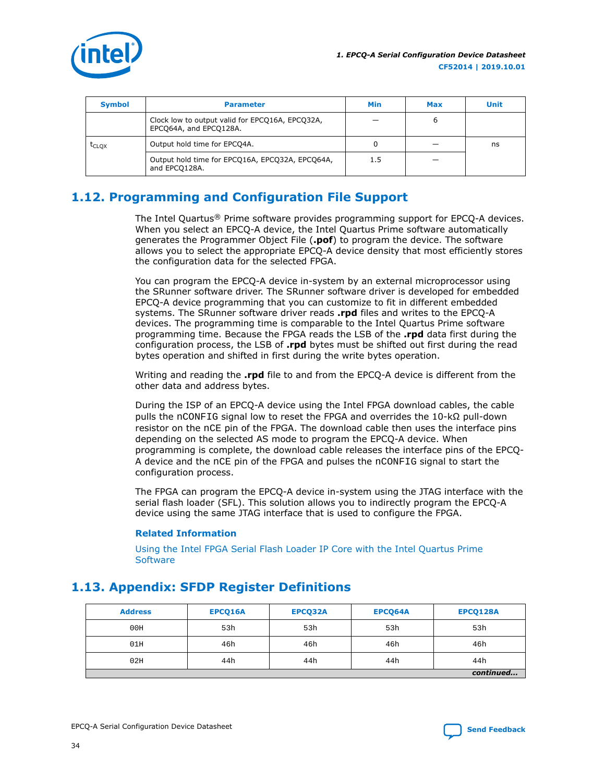<span id="page-33-0"></span>

| <b>Symbol</b>     | <b>Parameter</b>                                                          | Min | Max | Unit |
|-------------------|---------------------------------------------------------------------------|-----|-----|------|
|                   | Clock low to output valid for EPCQ16A, EPCQ32A,<br>EPCQ64A, and EPCQ128A. |     |     |      |
| $t_{\text{CLOX}}$ | Output hold time for EPCQ4A.                                              |     |     | ns   |
|                   | Output hold time for EPCQ16A, EPCQ32A, EPCQ64A,<br>and EPCO128A.          | 1.5 |     |      |

# **1.12. Programming and Configuration File Support**

The Intel Quartus® Prime software provides programming support for EPCQ-A devices. When you select an EPCQ-A device, the Intel Quartus Prime software automatically generates the Programmer Object File (**.pof**) to program the device. The software allows you to select the appropriate EPCQ-A device density that most efficiently stores the configuration data for the selected FPGA.

You can program the EPCQ-A device in-system by an external microprocessor using the SRunner software driver. The SRunner software driver is developed for embedded EPCQ-A device programming that you can customize to fit in different embedded systems. The SRunner software driver reads **.rpd** files and writes to the EPCQ-A devices. The programming time is comparable to the Intel Quartus Prime software programming time. Because the FPGA reads the LSB of the **.rpd** data first during the configuration process, the LSB of **.rpd** bytes must be shifted out first during the read bytes operation and shifted in first during the write bytes operation.

Writing and reading the **.rpd** file to and from the EPCQ-A device is different from the other data and address bytes.

During the ISP of an EPCQ-A device using the Intel FPGA download cables, the cable pulls the nCONFIG signal low to reset the FPGA and overrides the 10-kΩ pull-down resistor on the nCE pin of the FPGA. The download cable then uses the interface pins depending on the selected AS mode to program the EPCQ-A device. When programming is complete, the download cable releases the interface pins of the EPCQ-A device and the nCE pin of the FPGA and pulses the nCONFIG signal to start the configuration process.

The FPGA can program the EPCQ-A device in-system using the JTAG interface with the serial flash loader (SFL). This solution allows you to indirectly program the EPCQ-A device using the same JTAG interface that is used to configure the FPGA.

#### **Related Information**

[Using the Intel FPGA Serial Flash Loader IP Core with the Intel Quartus Prime](https://www.altera.com/documentation/mwh1410805299012.html) **[Software](https://www.altera.com/documentation/mwh1410805299012.html)** 

| <b>Address</b> | EPCQ16A | EPCQ32A | EPCQ64A | EPCQ128A  |
|----------------|---------|---------|---------|-----------|
| 00H            | 53h     | 53h     | 53h     | 53h       |
| 01H            | 46h     | 46h     | 46h     | 46h       |
| 02H            | 44h     | 44h     | 44h     | 44h       |
|                |         |         |         | continued |

# **1.13. Appendix: SFDP Register Definitions**

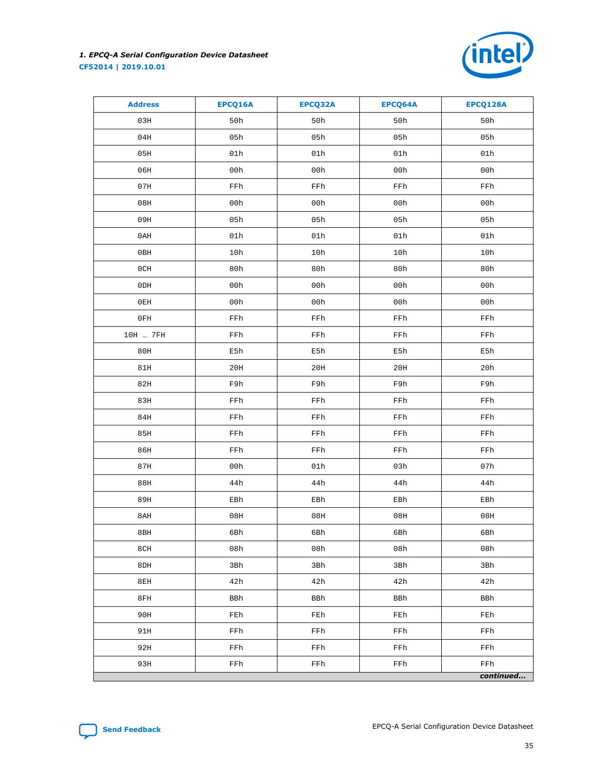

| <b>Address</b>  | EPCQ16A | EPCQ32A | EPCQ64A | EPCQ128A  |
|-----------------|---------|---------|---------|-----------|
| 03H             | 50h     | 50h     | 50h     | 50h       |
| 04H             | 05h     | 05h     | 05h     | 05h       |
| 05H             | 01h     | 01h     | 01h     | 01h       |
| 06H             | 00h     | 00h     | 00h     | 00h       |
| 07H             | FFh     | FFh     | FFh     | FFh       |
| 08H             | 00h     | 00h     | 00h     | 00h       |
| 09H             | 05h     | 05h     | 05h     | 05h       |
| 0AH             | 01h     | 01h     | 01h     | 01h       |
| 0BH             | 10h     | 10h     | 10h     | 10h       |
| 0CH             | 80h     | 80h     | 80h     | 80h       |
| 0 <sub>DH</sub> | 00h     | 00h     | 00h     | 00h       |
| 0EH             | 00h     | 00h     | 00h     | 00h       |
| 0FH             | FFh     | FFh     | FFh     | FFh       |
| 10H  7FH        | FFh     | FFh     | FFh     | FFh       |
| 80H             | E5h     | E5h     | E5h     | E5h       |
| 81H             | 20H     | 20H     | 20H     | 20h       |
| 82H             | F9h     | F9h     | F9h     | F9h       |
| 83H             | FFh     | FFh     | FFh     | FFh       |
| 84H             | FFh     | FFh     | FFh     | FFh       |
| 85H             | FFh     | FFh     | FFh     | FFh       |
| 86H             | FFh     | FFh     | FFh     | FFh       |
| 87H             | 00h     | 01h     | 03h     | 07h       |
| 88H             | 44h     | 44h     | 44h     | 44h       |
| 89H             | EBh     | EBh     | EBh     | EBh       |
| 8AH             | 08H     | 08H     | 08H     | 08H       |
| 8BH             | 6Bh     | 6Bh     | 6Bh     | 6Bh       |
| 8CH             | 08h     | 08h     | 08h     | 08h       |
| 8DH             | 3Bh     | 3Bh     | 3Bh     | 3Bh       |
| 8EH             | 42h     | 42h     | 42h     | 42h       |
| 8FH             | BBh     | BBh     | BBh     | BBh       |
| 90H             | FEh     | FEh     | FEh     | FEh       |
| 91H             | FFh     | FFh     | FFh     | FFh       |
| 92H             | FFh     | FFh     | FFh     | FFh       |
| 93H             | FFh     | FFh     | FFh     | FFh       |
|                 |         |         |         | continued |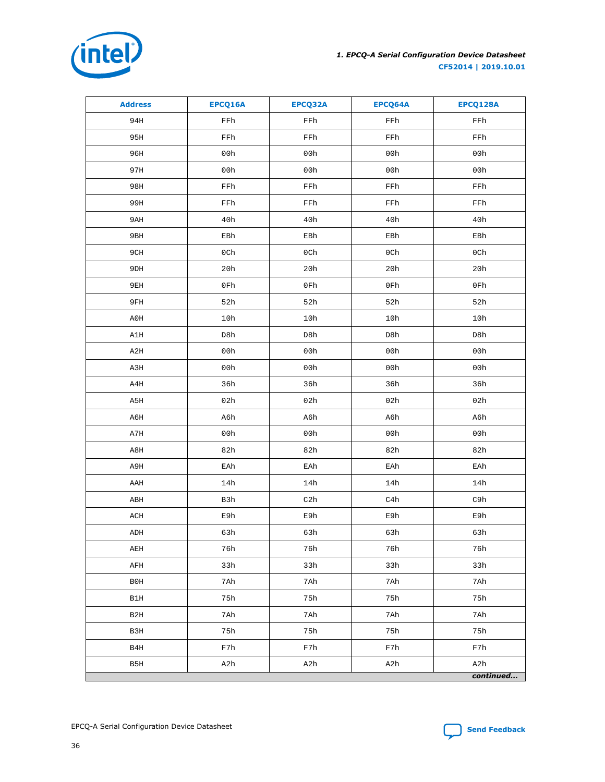

| <b>Address</b>   | EPCQ16A | EPCQ32A | EPCQ64A | EPCQ128A  |
|------------------|---------|---------|---------|-----------|
| 94H              | FFh     | FFh     | FFh     | FFh       |
| 95H              | FFh     | FFh     | FFh     | FFh       |
| 96H              | 00h     | 00h     | 00h     | 00h       |
| 97H              | 00h     | 00h     | 00h     | 00h       |
| 98H              | FFh     | FFh     | FFh     | FFh       |
| 99H              | FFh     | FFh     | FFh     | FFh       |
| 9 AH             | 40h     | 40h     | 40h     | 40h       |
| 9BH              | EBh     | EBh     | EBh     | EBh       |
| 9CH              | 0Ch     | 0Ch     | 0Ch     | 0Ch       |
| 9DH              | 20h     | 20h     | 20h     | 20h       |
| 9EH              | 0Fh     | 0Fh     | 0Fh     | 0Fh       |
| 9FH              | 52h     | 52h     | 52h     | 52h       |
| A0H              | 10h     | 10h     | 10h     | 10h       |
| A1H              | D8h     | D8h     | D8h     | D8h       |
| A2H              | 00h     | 00h     | 00h     | 00h       |
| A3H              | 00h     | 00h     | 00h     | 00h       |
| A4H              | 36h     | 36h     | 36h     | 36h       |
| A5H              | 02h     | 02h     | 02h     | 02h       |
| A6H              | A6h     | A6h     | A6h     | A6h       |
| A7H              | 00h     | 00h     | 00h     | 00h       |
| A8H              | 82h     | 82h     | 82h     | 82h       |
| A9H              | EAh     | EAh     | EAh     | EAh       |
| AAH              | 14h     | 14h     | 14h     | 14h       |
| ABH              | B3h     | C2h     | C4h     | C9h       |
| ACH              | E9h     | E9h     | E9h     | E9h       |
| ADH              | 63h     | 63h     | 63h     | 63h       |
| AEH              | 76h     | 76h     | 76h     | 76h       |
| AFH              | 33h     | 33h     | 33h     | 33h       |
| B0H              | 7Ah     | 7Ah     | 7Ah     | 7Ah       |
| B1H              | 75h     | 75h     | 75h     | 75h       |
| B <sub>2</sub> H | 7Ah     | 7Ah     | 7Ah     | 7Ah       |
| B3H              | 75h     | 75h     | 75h     | 75h       |
| B4H              | F7h     | F7h     | F7h     | F7h       |
| B5H              | A2h     | A2h     | A2h     | A2h       |
|                  |         |         |         | continued |

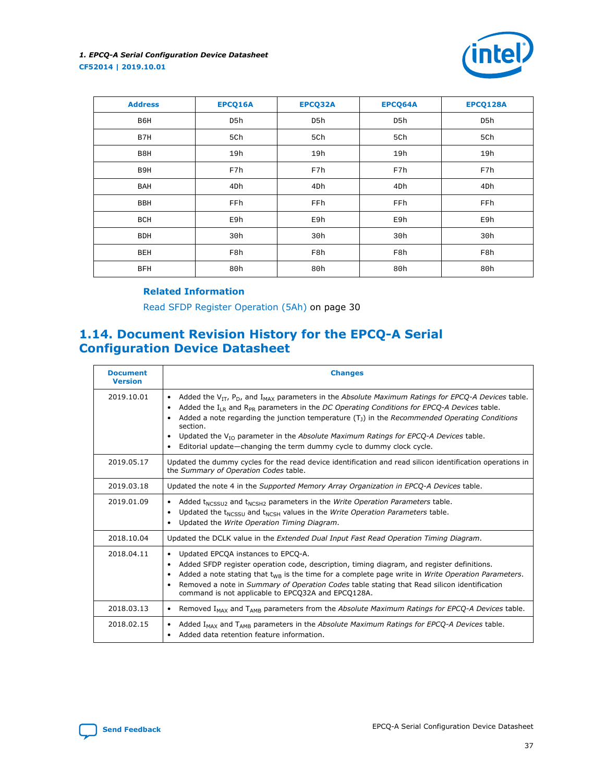

<span id="page-36-0"></span>

| <b>Address</b> | EPCQ16A | EPCQ32A | EPCQ64A         | EPCQ128A        |
|----------------|---------|---------|-----------------|-----------------|
| B6H            | D5h     | D5h     | D5h             | D5h             |
| B7H            | 5Ch     | 5Ch     | 5Ch             | 5Ch             |
| B8H            | 19h     | 19h     | 19h             | 19h             |
| B9H            | F7h     | F7h     | F7h             | F7h             |
| BAH            | 4Dh     | 4Dh     | 4 <sub>Dh</sub> | 4 <sub>Dh</sub> |
| <b>BBH</b>     | FFh     | FFh     | FFh             | FFh             |
| BCH            | E9h     | E9h     | E9h             | E9h             |
| <b>BDH</b>     | 30h     | 30h     | 30h             | 30h             |
| BEH            | F8h     | F8h     | F8h             | F8h             |
| <b>BFH</b>     | 80h     | 80h     | 80h             | 80h             |

#### **Related Information**

[Read SFDP Register Operation \(5Ah\)](#page-29-0) on page 30

# **1.14. Document Revision History for the EPCQ-A Serial Configuration Device Datasheet**

| <b>Document</b><br><b>Version</b> | <b>Changes</b>                                                                                                                                                                                                                                                                                                                                                                                                                                                                                                                                                |
|-----------------------------------|---------------------------------------------------------------------------------------------------------------------------------------------------------------------------------------------------------------------------------------------------------------------------------------------------------------------------------------------------------------------------------------------------------------------------------------------------------------------------------------------------------------------------------------------------------------|
| 2019.10.01                        | Added the $V_{IT}$ , $P_D$ , and $I_{MAX}$ parameters in the Absolute Maximum Ratings for EPCQ-A Devices table.<br>$\bullet$<br>Added the $I_{LR}$ and $R_{PR}$ parameters in the DC Operating Conditions for EPCQ-A Devices table.<br>$\bullet$<br>Added a note regarding the junction temperature $(T_1)$ in the Recommended Operating Conditions<br>section.<br>Updated the $V_{10}$ parameter in the Absolute Maximum Ratings for EPCQ-A Devices table.<br>$\bullet$<br>Editorial update—changing the term dummy cycle to dummy clock cycle.<br>$\bullet$ |
| 2019.05.17                        | Updated the dummy cycles for the read device identification and read silicon identification operations in<br>the Summary of Operation Codes table.                                                                                                                                                                                                                                                                                                                                                                                                            |
| 2019.03.18                        | Updated the note 4 in the Supported Memory Array Organization in EPCQ-A Devices table.                                                                                                                                                                                                                                                                                                                                                                                                                                                                        |
| 2019.01.09                        | Added t <sub>NCSSU2</sub> and t <sub>NCSH2</sub> parameters in the <i>Write Operation Parameters</i> table.<br>$\bullet$<br>Updated the t <sub>NCSSU</sub> and t <sub>NCSH</sub> values in the <i>Write Operation Parameters</i> table.<br>٠<br>Updated the Write Operation Timing Diagram.                                                                                                                                                                                                                                                                   |
| 2018.10.04                        | Updated the DCLK value in the Extended Dual Input Fast Read Operation Timing Diagram.                                                                                                                                                                                                                                                                                                                                                                                                                                                                         |
| 2018.04.11                        | Updated EPCQA instances to EPCQ-A.<br>$\bullet$<br>Added SFDP register operation code, description, timing diagram, and register definitions.<br>$\bullet$<br>Added a note stating that $t_{WR}$ is the time for a complete page write in Write Operation Parameters.<br>Removed a note in Summary of Operation Codes table stating that Read silicon identification<br>command is not applicable to EPCQ32A and EPCQ128A.                                                                                                                                    |
| 2018.03.13                        | Removed I <sub>MAX</sub> and T <sub>AMB</sub> parameters from the Absolute Maximum Ratings for EPCQ-A Devices table.<br>$\bullet$                                                                                                                                                                                                                                                                                                                                                                                                                             |
| 2018.02.15                        | Added I <sub>MAX</sub> and T <sub>AMB</sub> parameters in the Absolute Maximum Ratings for EPCQ-A Devices table.<br>$\bullet$<br>Added data retention feature information.<br>٠                                                                                                                                                                                                                                                                                                                                                                               |